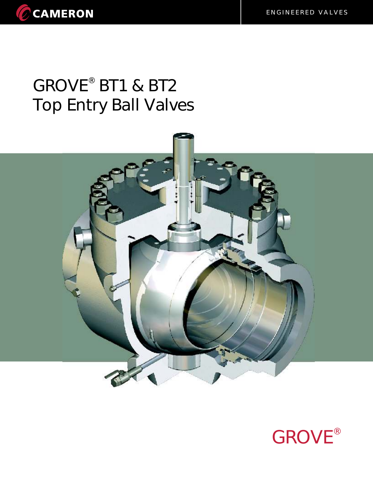## GROVE<sup>®</sup> BT1 & BT2 Top Entry Ball Valves



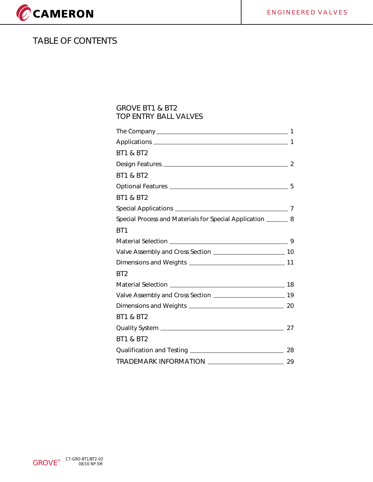

## **TABLE OF CONTENTS**

#### **GROVE BT1 & BT2 TOP ENTRY BALL VALVES**

|                                                                  | $\mathbf 1$ |
|------------------------------------------------------------------|-------------|
| <b>BT1 &amp; BT2</b>                                             |             |
|                                                                  |             |
| <b>BT1 &amp; BT2</b>                                             |             |
|                                                                  |             |
| <b>BT1 &amp; BT2</b>                                             |             |
|                                                                  |             |
| Special Process and Materials for Special Application ________ 8 |             |
| BT <sub>1</sub>                                                  |             |
|                                                                  |             |
|                                                                  |             |
|                                                                  |             |
| BT <sub>2</sub>                                                  |             |
|                                                                  |             |
|                                                                  |             |
|                                                                  |             |
| <b>BT1 &amp; BT2</b>                                             |             |
|                                                                  |             |
| <b>BT1 &amp; BT2</b>                                             |             |
|                                                                  |             |
|                                                                  |             |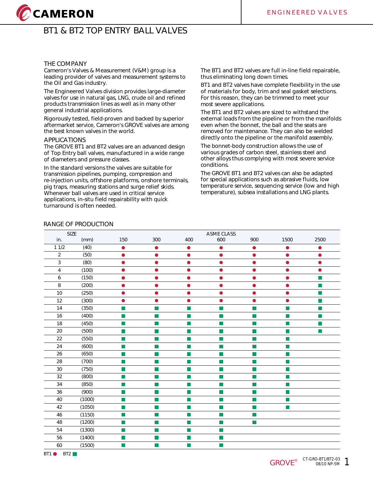# CCAMERON

## **BT1 & BT2 TOP ENTRY BALL VALVES**

#### **THE COMPANY**

Cameron's Valves & Measurement (V&M) group is a leading provider of valves and measurement systems to the Oil and Gas industry.

The Engineered Valves division provides large-diameter valves for use in natural gas, LNG, crude oil and refined products transmission lines as well as in many other general industrial applications.

Rigorously tested, field-proven and backed by superior aftermarket service, Cameron's GROVE valves are among the best known valves in the world.

#### **APPLICATIONS**

The GROVE BT1 and BT2 valves are an advanced design of Top Entry ball valves, manufactured in a wide range of diameters and pressure classes.

In the standard versions the valves are suitable for transmission pipelines, pumping, compression and re-injection units, offshore platforms, onshore terminals, pig traps, measuring stations and surge relief skids. Whenever ball valves are used in critical service applications, in-situ field repairability with quick turnaround is often needed.

The BT1 and BT2 valves are full in-line field repairable, thus eliminating long down times.

BT1 and BT2 valves have complete flexibility in the use of materials for body, trim and seal gasket selections. For this reason, they can be trimmed to meet your most severe applications.

The BT1 and BT2 valves are sized to withstand the external loads from the pipeline or from the manifolds even when the bonnet, the ball and the seats are removed for maintenance. They can also be welded directly onto the pipeline or the manifold assembly.

The bonnet-body construction allows the use of various grades of carbon steel, stainless steel and other alloys thus complying with most severe service conditions.

The GROVE BT1 and BT2 valves can also be adapted for special applications such as abrasive fluids, low temperature service, sequencing service (low and high temperature), subsea installations and LNG plants.

#### **RANGE OF PRODUCTION**

| <b>SIZE</b>    |        |                             |                          |                             | ASME CLASS  |           |                |                |
|----------------|--------|-----------------------------|--------------------------|-----------------------------|-------------|-----------|----------------|----------------|
| in.            | (mm)   | 150                         | 300                      | 400                         | 600         | 900       | 1500           | 2500           |
| 11/2           | (40)   | $\bullet$                   | $\bullet$                | $\bullet$                   | 0           | $\bullet$ | $\bullet$      | $\bullet$      |
| $\overline{2}$ | (50)   | ●                           | $\bullet$                | $\bullet$                   | ●           |           | ●              | ●              |
| $\overline{3}$ | (80)   | ۸                           | $\bullet$                | $\bullet$                   | ●           | n         | ●              | ▲              |
| 4              | (100)  | D                           | $\bullet$                | $\bullet$                   |             |           | $\bullet$      |                |
| 6              | (150)  |                             | $\bullet$                | $\bullet$                   |             |           | $\bullet$      | ш              |
| 8              | (200)  | D                           | $\bullet$                | $\bullet$                   |             |           | ●              | ▄              |
| 10             | (250)  |                             | ●                        | ٠                           |             |           | o              |                |
| 12             | (300)  | n                           | $\bullet$                | $\bullet$                   |             |           | $\bullet$      | $\blacksquare$ |
| 14             | (350)  | $\mathbb{Z}$                | П                        | H.                          | T.          |           | П              | ш              |
| 16             | (400)  | $\mathbb{Z}$                | $\mathbb{R}^2$           | $\mathbb{R}^3$              | F.          |           | П              | a l            |
| 18             | (450)  | $\mathcal{L}_{\mathcal{A}}$ | $\blacksquare$           | П                           |             |           | m,             |                |
| 20             | (500)  | $\blacksquare$              | n.                       | H.                          | <b>COL</b>  |           | $\blacksquare$ | п              |
| 22             | (550)  | T,                          | $\Box$                   | $\Box$                      | П           |           | $\blacksquare$ |                |
| 24             | (600)  | $\mathcal{L}_{\mathcal{A}}$ | $\Box$                   | <b>In</b>                   | Ħ           |           | ш              |                |
| 26             | (650)  | u,                          | H.                       | F.                          |             |           | $\blacksquare$ |                |
| 28             | (700)  | п                           | m.                       | F.                          | <b>COL</b>  |           | m,             |                |
| 30             | (750)  | $\mathcal{C}_{\mathcal{A}}$ | $\overline{\phantom{a}}$ | Π                           |             |           | m,             |                |
| 32             | (800)  | $\Box$                      | $\overline{\phantom{a}}$ | $\mathbb{R}^2$              |             |           | $\blacksquare$ |                |
| 34             | (850)  | T.                          | m.                       | m,                          | <b>Tale</b> |           | m,             |                |
| 36             | (900)  | T,                          | П                        | F.                          | <b>Tall</b> |           | <b>STEP</b>    |                |
| 40             | (1000) | $\mathcal{C}^{\mathcal{A}}$ | $\Box$                   | $\mathbb{R}^2$              | П           | ×.        | $\blacksquare$ |                |
| 42             | (1050) | $\mathcal{C}^{\mathcal{A}}$ | b.                       | $\mathcal{L}_{\mathcal{A}}$ | ×           |           | $\blacksquare$ |                |
| 46             | (1150) | a,                          | $\mathbb{R}^n$           | $\mathcal{L}_{\mathcal{A}}$ | П           |           |                |                |
| 48             | (1200) | $\mathcal{L}_{\mathcal{A}}$ | $\blacksquare$           | П                           | <b>COL</b>  | H.        |                |                |
| 54             | (1300) | $\mathcal{L}_{\mathcal{A}}$ | L.                       | $\mathcal{L}_{\mathcal{A}}$ |             |           |                |                |
| 56             | (1400) | ÷,                          | П                        | T.                          | m.          |           |                |                |
| 60             | (1500) | $\mathcal{L}_{\mathcal{A}}$ | $\mathcal{C}$            | M.                          |             |           |                |                |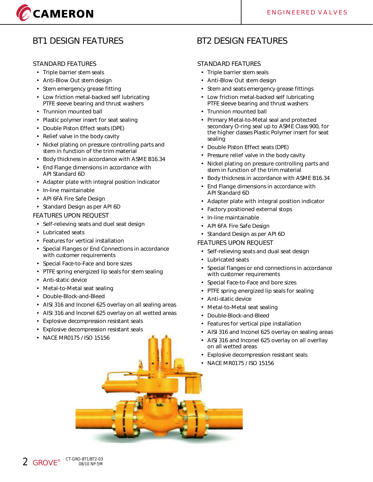# CAMERON

## **BT1 DESIGN FEATURES**

#### **STANDARD FEATURES**

- Triple barrier stem seals
- Anti-Blow Out stem design
- Stem emergency grease fitting
- Low friction metal-backed self lubricating PTFE sleeve bearing and thrust washers
- Trunnion mounted ball
- Plastic polymer insert for seat sealing
- Double Piston Effect seats (DPE)
- Relief valve in the body cavity
- Nickel plating on pressure controlling parts and stem in function of the trim material
- Body thickness in accordance with ASME B16.34
- End Flange dimensions in accordance with API Standard 6D
- Adapter plate with integral position indicator
- In-line maintainable
- API 6FA Fire Safe Design
- Standard Design as per API 6D

#### **FEATURES UPON REQUEST**

- Self-relieving seats and duel seat design
- Lubricated seats
- Features for vertical installation
- Special Flanges or End Connections in accordance with customer requirements
- Special Face-to-Face and bore sizes
- PTFE spring energized lip seals for stem sealing
- Anti-static device
- Metal-to-Metal seat sealing
- Double-Block-and-Bleed
- AISI 316 and Inconel 625 overlay on all sealing areas
- AISI 316 and Inconel 625 overlay on all wetted areas
- Explosive decompression resistant seals
- Explosive decompression resistant seals
- NACE MR0175 / ISO 15156

## **BT2 DESIGN FEATURES**

#### **STANDARD FEATURES**

- Triple barrier stem seals
- Anti-Blow Out stem design
- Stem and seats emergency grease fittings
- Low friction metal-backed self lubricating PTFE sleeve bearing and thrust washers
- Trunnion mounted ball
- Primary Metal-to-Metal seal and protected secondary O-ring seal up to ASME Class 900, for the higher classes Plastic Polymer insert for seat sealing
- Double Piston Effect seats (DPE)
- Pressure relief valve in the body cavity
- Nickel plating on pressure controlling parts and stem in function of the trim material
- Body thickness in accordance with ASME B16.34
- End Flange dimensions in accordance with API Standard 6D
- Adapter plate with integral position indicator
- Factory positioned external stops
- In-line maintainable
- API 6FA Fire Safe Design
- Standard Design as per API 6D

#### **FEATURES UPON REQUEST**

- Self-relieving seats and dual seat design
- Lubricated seats
- Special flanges or end connections in accordance with customer requirements
- Special Face-to-Face and bore sizes
- PTFE spring energized lip seals for sealing
- Anti-static device
- Metal-to-Metal seat sealing
- Double-Block-and-Bleed
- Features for vertical pipe installation
- AISI 316 and Inconel 625 overlay on sealing areas
- AISI 316 and Inconel 625 overlay on all overllay on all wetted areas
- Explosive decompression resistant seals
- NACE MR0175 / ISO 15156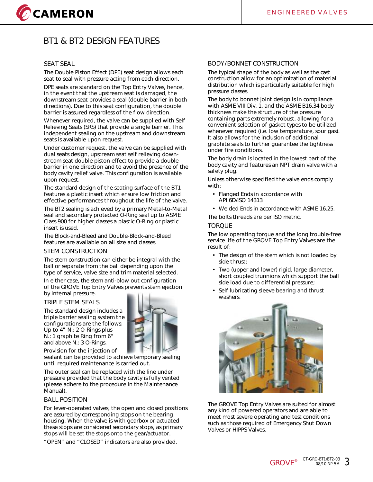## CAMERON

## **BT1 & BT2 DESIGN FEATURES**

#### **SEAT SEAL**

The Double Piston Effect (DPE) seat design allows each seat to seal with pressure acting from each direction.

DPE seats are standard on the Top Entry Valves, hence, in the event that the upstream seat is damaged, the downstream seat provides a seal (double barrier in both directions). Due to this seat configuration, the double barrier is assured regardless of the flow direction.

Whenever required, the valve can be supplied with Self Relieving Seats (SRS) that provide a single barrier. This independent sealing on the upstream and downstream seats is available upon request.

Under customer request, the valve can be supplied with dual seats design, upstream seat self relieving downstream seat double piston effect to provide a double barrier in one direction and to avoid the presence of the body cavity relief valve. This configuration is available upon request.

The standard design of the seating surface of the BT1 features a plastic insert which ensure low friction and effective performances throughout the life of the valve.

The BT2 sealing is achieved by a primary Metal-to-Metal seal and secondary protected O-Ring seal up to ASME Class 900 for higher classes a plastic O-Ring or plastic insert is used.

The Block-and-Bleed and Double-Block-and-Bleed features are available on all size and classes.

#### **STEM CONSTRUCTION**

The stem construction can either be integral with the ball or separate from the ball depending upon the type of service, valve size and trim material selected.

In either case, the stem anti-blow out configuration of the GROVE Top Entry Valves prevents stem ejection by internal pressure.

#### **TRIPLE STEM SEALS**

The standard design includes a triple barrier sealing system the configurations are the follows: Up to 4" N.: 2 O-Rings plus N.: 1 graphite Ring from 6" and above N.: 3 O-Rings.



Provision for the injection of sealant can be provided to achieve temporary sealing until required maintenance is carried out.

The outer seal can be replaced with the line under pressure provided that the body cavity is fully vented (please adhere to the procedure in the Maintenance Manual).

#### **BALL POSITION**

For lever-operated valves, the open and closed positions are assured by corresponding stops on the bearing housing. When the valve is with gearbox or actuated these stops are considered secondary stops, as primary stops will be set the stops onto the gear/actuator.

"OPEN" and "CLOSED" indicators are also provided.

#### **BODY/BONNET CONSTRUCTION**

The typical shape of the body as well as the cast construction allow for an optimization of material distribution which is particularly suitable for high pressure classes.

The body to bonnet joint design is in compliance with ASME VIII Div. 1, and the ASME B16.34 body thickness make the structure of the pressure containing parts extremely robust, allowing for a convenient selection of gasket types to be utilized whenever required (i.e. low temperature, sour gas). It also allows for the inclusion of additional graphite seals to further guarantee the tightness under fire conditions.

The body drain is located in the lowest part of the body cavity and features an NPT drain valve with a safety plug.

Unless otherwise specified the valve ends comply with:

- Flanged Ends in accordance with API 6D/ISO 14313
- Welded Ends in accordance with ASME 16.25.

The bolts threads are per ISO metric.

#### **TORQUE**

The low operating torque and the long trouble-free service life of the GROVE Top Entry Valves are the result of:

- The design of the stem which is not loaded by side thrust;
- Two (upper and lower) rigid, large diameter, short coupled trunnions which support the ball side load due to differential pressure;
- Self lubricating sleeve bearing and thrust washers.



The GROVE Top Entry Valves are suited for almost any kind of powered operators and are able to meet most severe operating and test conditions such as those required of Emergency Shut Down Valves or HIPPS Valves.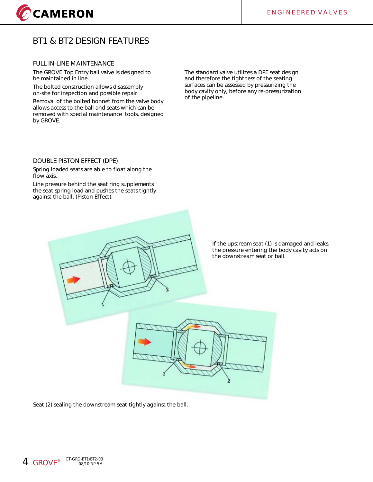

## **BT1 & BT2 DESIGN FEATURES**

#### **FULL IN-LINE MAINTENANCE**

The GROVE Top Entry ball valve is designed to be maintained in line.

The bolted construction allows disassembly on-site for inspection and possible repair.

Removal of the bolted bonnet from the valve body allows access to the ball and seats which can be removed with special maintenance tools, designed by GROVE.

The standard valve utilizes a DPE seat design and therefore the tightness of the seating surfaces can be assessed by pressurizing the body cavity only, before any re-pressurization of the pipeline.

#### **DOUBLE PISTON EFFECT (DPE)**

Spring loaded seats are able to float along the flow axis.

Line pressure behind the seat ring supplements the seat spring load and pushes the seats tightly against the ball. (Piston Effect).



If the upstream seat (1) is damaged and leaks, the pressure entering the body cavity acts on the downstream seat or ball.

Seat (2) sealing the downstream seat tightly against the ball.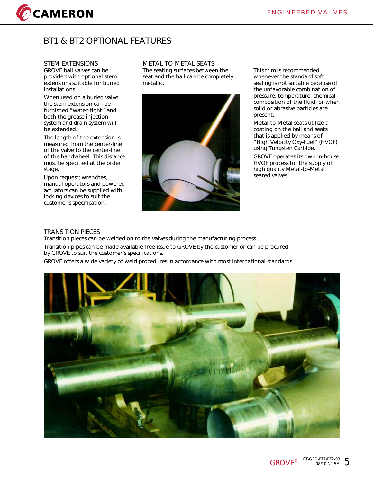

## **BT1 & BT2 OPTIONAL FEATURES**

#### **STEM EXTENSIONS**

GROVE ball valves can be provided with optional stem extensions suitable for buried installations.

When used on a buried valve, the stem extension can be furnished "water-tight" and both the grease injection system and drain system will be extended.

The length of the extension is measured from the center-line of the valve to the center-line of the handwheel. This distance must be specified at the order stage.

Upon request; wrenches, manual operators and powered actuators can be supplied with locking devices to suit the customer's specification.

**METAL-TO-METAL SEATS** The seating surfaces between the seat and the ball can be completely metallic.



This trim is recommended whenever the standard soft sealing is not suitable because of the unfavorable combination of pressure, temperature, chemical composition of the fluid, or when solid or abrasive particles are present.

Metal-to-Metal seats utilize a coating on the ball and seats that is applied by means of "High Velocity Oxy-Fuel" (HVOF) using Tungsten Carbide.

GROVE operates its own in-house HVOF process for the supply of high quality Metal-to-Metal seated valves.

#### **TRANSITION PIECES**

Transition pieces can be welded on to the valves during the manufacturing process. Transition pipes can be made available free-issue to GROVE by the customer or can be procured by GROVE to suit the customer's specifications.

GROVE offers a wide variety of weld procedures in accordance with most international standards.

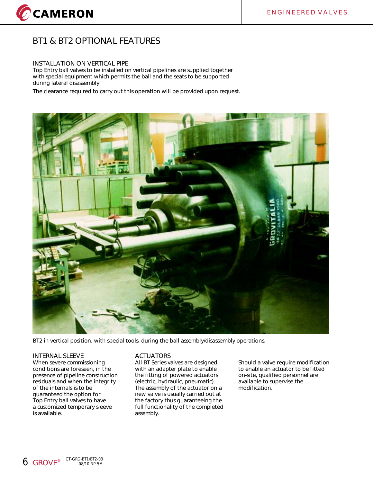## **BT1 & BT2 OPTIONAL FEATURES**

#### **INSTALLATION ON VERTICAL PIPE**

Top Entry ball valves to be installed on vertical pipelines are supplied together with special equipment which permits the ball and the seats to be supported during lateral disassembly.

The clearance required to carry out this operation will be provided upon request.



BT2 in vertical position, with special tools, during the ball assembly/disassembly operations.

#### **INTERNAL SLEEVE**

When severe commissioning conditions are foreseen, in the presence of pipeline construction residuals and when the integrity of the internals is to be guaranteed the option for Top Entry ball valves to have a customized temporary sleeve is available.

#### **ACTUATORS**

All BT Series valves are designed with an adapter plate to enable the fitting of powered actuators (electric, hydraulic, pneumatic). The assembly of the actuator on a new valve is usually carried out at the factory thus guaranteeing the full functionality of the completed assembly.

Should a valve require modification to enable an actuator to be fitted on-site, qualified personnel are available to supervise the modification.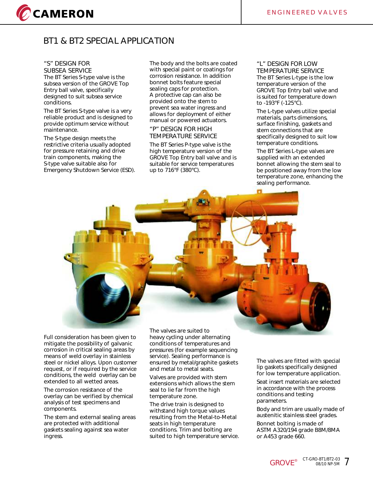

## **BT1 & BT2 SPECIAL APPLICATION**

#### **"S" DESIGN FOR SUBSEA SERVICE**

The BT Series S-type valve is the subsea version of the GROVE Top Entry ball valve, specifically designed to suit subsea service conditions.

The BT Series S-type valve is a very reliable product and is designed to provide optimum service without maintenance.

The S-type design meets the restrictive criteria usually adopted for pressure retaining and drive train components, making the S-type valve suitable also for Emergency Shutdown Service (ESD).

The body and the bolts are coated with special paint or coatings for corrosion resistance. In addition bonnet bolts feature special sealing caps for protection. A protective cap can also be provided onto the stem to prevent sea water ingress and allows for deployment of either manual or powered actuators.

#### **"P" DESIGN FOR HIGH TEMPERATURE SERVICE**

The BT Series P-type valve is the high temperature version of the GROVE Top Entry ball valve and is suitable for service temperatures up to 716°F (380°C).

#### **"L" DESIGN FOR LOW TEMPERATURE SERVICE** The BT Series L-type is the low temperature version of the GROVE Top Entry ball valve and is suited for temperature down to -193°F (-125°C).

The L-type valves utilize special materials, parts dimensions, surface finishing, gaskets and stem connections that are specifically designed to suit low temperature conditions.

The BT Series L-type valves are supplied with an extended bonnet allowing the stem seal to be positioned away from the low temperature zone, enhancing the sealing performance.

Full consideration has been given to mitigate the possibility of galvanic corrosion in critical sealing areas by means of weld overlay in stainless steel or nickel alloys. Upon customer request, or if required by the service conditions, the weld overlay can be extended to all wetted areas.

The corrosion resistance of the overlay can be verified by chemical analysis of test specimens and components.

The stem and external sealing areas are protected with additional gaskets sealing against sea water ingress.

The valves are suited to heavy cycling under alternating conditions of temperatures and pressures (for example sequencing service). Sealing performance is ensured by metal/graphite gaskets and metal to metal seats.

Valves are provided with stem extensions which allows the stem seal to lie far from the high temperature zone.

The drive train is designed to withstand high torque values resulting from the Metal-to-Metal seats in high temperature conditions. Trim and bolting are suited to high temperature service.

The valves are fitted with special lip gaskets specifically designed for low temperature application.

Seat insert materials are selected in accordance with the process conditions and testing parameters.

Body and trim are usually made of austenitic stainless steel grades.

Bonnet bolting is made of ASTM A320/194 grade B8M/8MA or A453 grade 660.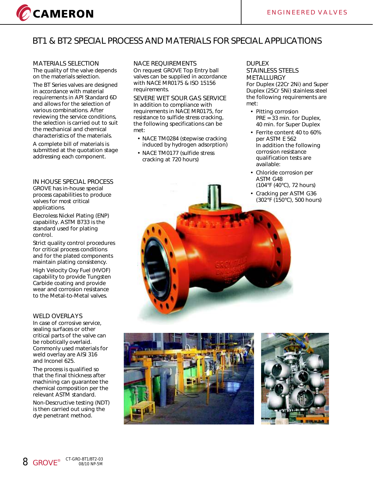

## **BT1 & BT2 SPECIAL PROCESS AND MATERIALS FOR SPECIAL APPLICATIONS**

## **MATERIALS SELECTION**

The quality of the valve depends on the materials selection.

The BT Series valves are designed in accordance with material requirements in API Standard 6D and allows for the selection of various combinations. After reviewing the service conditions, the selection is carried out to suit the mechanical and chemical characteristics of the materials.

A complete bill of materials is submitted at the quotation stage addressing each component.

#### **IN HOUSE SPECIAL PROCESS**

GROVE has in-house special process capabilities to produce valves for most critical applications.

Elecroless Nickel Plating (ENP) capability. ASTM B733 is the standard used for plating control.

Strict quality control procedures for critical process conditions and for the plated components maintain plating consistency.

High Velocity Oxy Fuel (HVOF) capability to provide Tungsten Carbide coating and provide wear and corrosion resistance to the Metal-to-Metal valves.

#### **WELD OVERLAYS**

In case of corrosive service, sealing surfaces or other critical parts of the valve can be robotically overlaid. Commonly used materials for weld overlay are AISI 316 and Inconel 625.

The process is qualified so that the final thickness after machining can guarantee the chemical composition per the relevant ASTM standard.

Non-Descructive testing (NDT) is then carried out using the dye penetrant method.

#### **NACE REQUIREMENTS**

On request GROVE Top Entry ball valves can be supplied in accordance with NACE MR0175 & ISO 15156 requirements.

**SEVERE WET SOUR GAS SERVICE**  In addition to compliance with requirements in NACE MR0175, for resistance to sulfide stress cracking, the following specifications can be met:

- NACE TM0284 (stepwise cracking induced by hydrogen adsorption)
- NACE TM0177 (sulfide stress cracking at 720 hours)

#### **DUPLEX STAINLESS STEELS METALLURGY**

For Duplex (22Cr 2Ni) and Super Duplex (25Cr 5Ni) stainless steel the following requirements are met:

- Pitting corrosion PRE = 33 min. for Duplex, 40 min. for Super Duplex
- Ferrite content 40 to 60% per ASTM E 562 In addition the following corrosion resistance qualification tests are available:
- Chloride corrosion per ASTM G48 (104°F (40°C), 72 hours)
- Cracking per ASTM G36 (302°F (150°C), 500 hours)



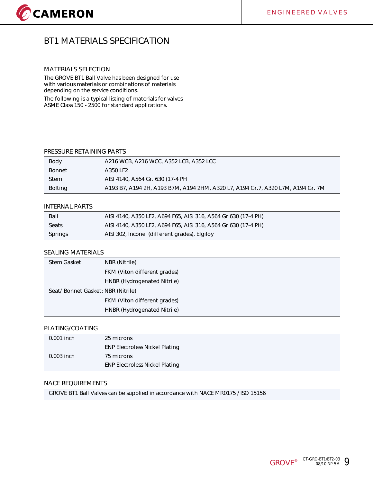## **BT1 MATERIALS SPECIFICATION**

#### **MATERIALS SELECTION**

The GROVE BT1 Ball Valve has been designed for use with various materials or combinations of materials depending on the service conditions.

The following is a typical listing of materials for valves ASME Class 150 - 2500 for standard applications.

#### **PRESSURE RETAINING PARTS**

| Body          | A216 WCB, A216 WCC, A352 LCB, A352 LCC                                          |
|---------------|---------------------------------------------------------------------------------|
| <b>Bonnet</b> | A350 LF2                                                                        |
| <b>Stem</b>   | AISI 4140, A564 Gr. 630 (17-4 PH                                                |
| Bolting       | A193 B7, A194 2H, A193 B7M, A194 2HM, A320 L7, A194 Gr.7, A320 L7M, A194 Gr. 7M |

#### **INTERNAL PARTS**

| Ball    | AISI 4140, A350 LF2, A694 F65, AISI 316, A564 Gr 630 (17-4 PH) |
|---------|----------------------------------------------------------------|
| Seats   | AISI 4140, A350 LF2, A694 F65, AISI 316, A564 Gr 630 (17-4 PH) |
| Springs | AISI 302, Inconel (different grades), Elgiloy                  |

#### **SEALING MATERIALS**

| Stem Gasket:                      | NBR (Nitrile)                |
|-----------------------------------|------------------------------|
|                                   | FKM (Viton different grades) |
|                                   | HNBR (Hydrogenated Nitrile)  |
| Seat/Bonnet Gasket: NBR (Nitrile) |                              |
|                                   | FKM (Viton different grades) |
|                                   | HNBR (Hydrogenated Nitrile)  |

#### **PLATING/COATING**

| 0.001 inch   | 25 microns                            |
|--------------|---------------------------------------|
|              | <b>ENP Electroless Nickel Plating</b> |
| $0.003$ inch | 75 microns                            |
|              | <b>ENP Electroless Nickel Plating</b> |

#### **NACE REQUIREMENTS**

GROVE BT1 Ball Valves can be supplied in accordance with NACE MR0175 / ISO 15156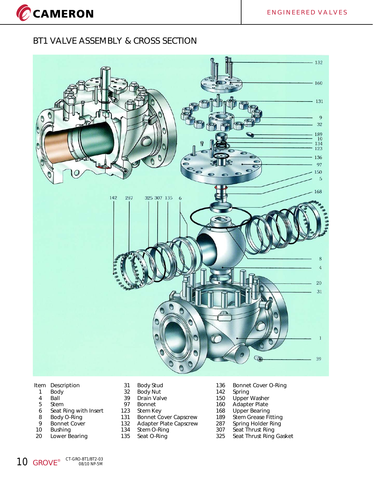## **BT1 VALVE ASSEMBLY & CROSS SECTION**

CCAMERON



#### **Item Description**

- 1 Body
- 4 Ball
- 5 Stem
- 6 Seat Ring with Insert
- 8 Body O-Ring<br>9 Bonnet Cover
- Bonnet Cover
- 10 Bushing
- 20 Lower Bearing
- 31 Body Stud
- 32 Body Nut
- 39 Drain Valve<br>97 Bonnet
- 97 Bonnet<br>123 Stem Ke
- 123 Stem Key<br>131 Bonnet Co
- 131 Bonnet Cover Capscrew<br>132 Adapter Plate Capscrew
- 132 Adapter Plate Capscrew<br>134 Stem O-Ring
- 134 Stem O-Ring<br>135 Seat O-Ring Seat O-Ring
- 136 Bonnet Cover O-Ring<br>142 Spring
- 142 Spring
- 150 Upper Washer
- 160 Adapter Plate
- 168 Upper Bearing<br>189 Stem Grease Fi
- 189 Stem Grease Fitting<br>287 Spring Holder Ring
- 287 Spring Holder Ring<br>307 Seat Thrust Ring
- 307 Seat Thrust Ring<br>325 Seat Thrust Ring
- Seat Thrust Ring Gasket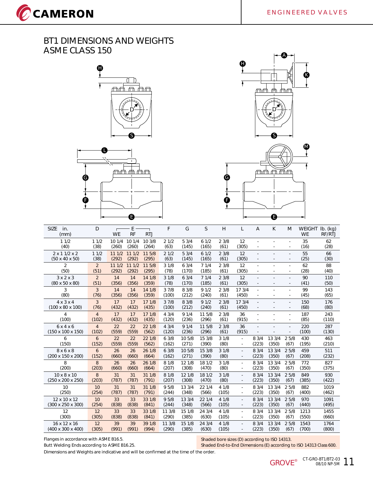CCAMERON







| <b>SIZE</b><br>in.<br>(mm)                             | D                       | <b>WE</b>      | E<br><b>RF</b>  | <b>RTJ</b>      | F               | G               | S               | H              | L                                                    | $\overline{A}$                     | K                        | M            | <b>WEIGHT</b><br><b>WE</b> | $Ib.$ (kg)<br>RF/RTJ |
|--------------------------------------------------------|-------------------------|----------------|-----------------|-----------------|-----------------|-----------------|-----------------|----------------|------------------------------------------------------|------------------------------------|--------------------------|--------------|----------------------------|----------------------|
| 11/2<br>(40)                                           | 11/2<br>(38)            | 101/4<br>(260) | 10 1/4<br>(260) | 10 3/8<br>(264) | 21/2<br>(63)    | 53/4<br>(145)   | 61/2<br>(165)   | 23/8<br>(61)   | 12<br>(305)                                          | ×.<br>$\overline{\phantom{a}}$     | $\sim$                   | ٠            | 35<br>(16)                 | 62<br>(28)           |
| $2 \times 11/2 \times 2$<br>$(50 \times 40 \times 50)$ | 11/2<br>(38)            | 111/2<br>(292) | 111/2<br>(292)  | 11 5/8<br>(295) | 21/2<br>(63)    | 53/4<br>(145)   | 61/2<br>(165)   | 23/8<br>(61)   | 12<br>(305)                                          | $\sim$                             |                          |              | 55<br>(25)                 | 66<br>(30)           |
| $\overline{2}$<br>(50)                                 | $\overline{2}$<br>(51)  | 111/2<br>(292) | 111/2<br>(292)  | 11 5/8<br>(295) | 31/8<br>(78)    | 63/4<br>(170)   | 71/4<br>(185)   | 23/8<br>(61)   | 12<br>(305)                                          | ×.                                 |                          |              | 62<br>(28)                 | 88<br>(40)           |
| $3 \times 2 \times 3$<br>$(80 \times 50 \times 80)$    | $\overline{2}$<br>(51)  | 14<br>(356)    | 14<br>(356)     | 14 1/8<br>(359) | 31/8<br>(78)    | 63/4<br>(170)   | 71/4<br>(185)   | 23/8<br>(61)   | 12<br>(305)                                          | ÷.                                 | $\blacksquare$           |              | 90<br>(41)                 | 110<br>(50)          |
| 3<br>(80)                                              | 3<br>(76)               | 14<br>(356)    | 14<br>(356)     | 14 1/8<br>(359) | 37/8<br>(100)   | 8 3/8<br>(212)  | 91/2<br>(240)   | 23/8<br>(61)   | 17 3/4<br>(450)                                      | $\overline{\phantom{a}}$           | ÷.                       |              | 99<br>(45)                 | 143<br>(65)          |
| $4 \times 3 \times 4$<br>$(100 \times 80 \times 100)$  | 3<br>(76)               | 17<br>(432)    | 17<br>(432)     | 17 1/8<br>(435) | 37/8<br>(100)   | 8 3/8<br>(212)  | 91/2<br>(240)   | 23/8<br>(61)   | 17 3/4<br>(450)                                      | $\sim$<br>$\sim$                   | $\overline{\phantom{a}}$ |              | 150<br>(68)                | 176<br>(80)          |
| 4<br>(100)                                             | $\overline{4}$<br>(102) | 17<br>(432)    | 17<br>(432)     | 17 1/8<br>(435) | 43/4<br>(120)   | 91/4<br>(236)   | 11 5/8<br>(296) | 23/8<br>(61)   | 36<br>(915)                                          | $\sim$<br>$\overline{\phantom{a}}$ | ٠                        | ٠            | 187<br>(85)                | 243<br>(110)         |
| 6x4x6<br>$(150 \times 100 \times 150)$                 | $\overline{4}$<br>(102) | 22<br>(559)    | 22<br>(559)     | 22 1/8<br>(562) | 43/4<br>(120)   | 91/4<br>(236)   | 11 5/8<br>(296) | 23/8<br>(61)   | 36<br>(915)                                          |                                    |                          | ÷.           | 220<br>(100)               | 287<br>(130)         |
| 6<br>(150)                                             | 6<br>(152)              | 22<br>(559)    | 22<br>(559)     | 22 1/8<br>(562) | 63/8<br>(162)   | 10 5/8<br>(271) | 15 3/8<br>(390) | 31/8<br>(80)   | $\overline{\phantom{a}}$<br>$\overline{\phantom{a}}$ | 8 3/4<br>(223)                     | 13 3/4<br>(350)          | 25/8<br>(67) | 430<br>(195)               | 463<br>(210)         |
| 8x6x8<br>(200 x 150 x 200)                             | 6<br>(152)              | 26<br>(660)    | 26<br>(660)     | 26 1/8<br>(664) | 63/8<br>(162)   | 10 5/8<br>(271) | 15 3/8<br>(390) | 31/8<br>(80)   | $\blacksquare$<br>$\overline{\phantom{a}}$           | 8 3/4<br>(223)                     | 13 3/4<br>(350)          | 25/8<br>(67) | 459<br>(208)               | 511<br>(232)         |
| 8<br>(200)                                             | 8<br>(203)              | 26<br>(660)    | 26<br>(660)     | 26 1/8<br>(664) | 8 1/8<br>(207)  | 12 1/8<br>(308) | 18 1/2<br>(470) | 31/8<br>(80)   | $\sim$<br>$\overline{\phantom{a}}$                   | 8 3/4<br>(223)                     | 13 3/4<br>(350)          | 25/8<br>(67) | 772<br>(350)               | 827<br>(375)         |
| $10 \times 8 \times 10$<br>(250 x 200 x 250)           | 8<br>(203)              | 31<br>(787)    | 31<br>(787)     | 31 1/8<br>(791) | 8 1/8<br>(207)  | 12 1/8<br>(308) | 18 1/2<br>(470) | 31/8<br>(80)   | $\sim$<br>$\sim$                                     | 8 3/4<br>(223)                     | 13 3/4<br>(350)          | 25/8<br>(67) | 849<br>(385)               | 930<br>(422)         |
| 10<br>(250)                                            | 10<br>(254)             | 31<br>(787)    | 31<br>(787)     | 31 1/8<br>(791) | 9 5/8<br>(244)  | 13 3/4<br>(348) | 22 1/4<br>(566) | 4 1/8<br>(105) | $\overline{\phantom{a}}$<br>$\sim$                   | 8 3/4<br>(223)                     | 13 3/4<br>(350)          | 25/8<br>(67) | 882<br>(400)               | 1019<br>(462)        |
| 12 x 10 x 12<br>$(300 \times 250 \times 300)$          | 10<br>(254)             | 33<br>(838)    | 33<br>(838)     | 33 1/8<br>(841) | 95/8<br>(244)   | 13 3/4<br>(348) | 22 1/4<br>(566) | 4 1/8<br>(105) | $\sim$<br>$\overline{\phantom{a}}$                   | 8 3/4<br>(223)                     | 13 3/4<br>(350)          | 25/8<br>(67) | 970<br>(440)               | 1091<br>(495)        |
| 12<br>(300)                                            | 12<br>(305)             | 33<br>(838)    | 33<br>(838)     | 33 1/8<br>(841) | 11 3/8<br>(290) | 15 1/8<br>(385) | 24 3/4<br>(630) | 4 1/8<br>(105) | $\omega$<br>$\sim$                                   | 8 3/4<br>(223)                     | 13 3/4<br>(350)          | 25/8<br>(67) | 1213<br>(550)              | 1455<br>(660)        |
| 16 x 12 x 16<br>$(400 \times 300 \times 400)$          | 12<br>(305)             | 39<br>(991)    | 39<br>(991)     | 39 1/8<br>(994) | 11 3/8<br>(290) | 15 1/8<br>(385) | 24 3/4<br>(630) | 4 1/8<br>(105) | $\overline{\phantom{a}}$                             | 8 3/4<br>(223)                     | 13 3/4<br>(350)          | 25/8<br>(67) | 1543<br>(700)              | 1764<br>(800)        |

Flanges in accordance with ASME B16.5. Butt Welding Ends according to ASME B16.25. Shaded bore sizes (D) according to ISO 14313.

Shaded End-to-End Dimensions (E) according to ISO 14313 Class 600.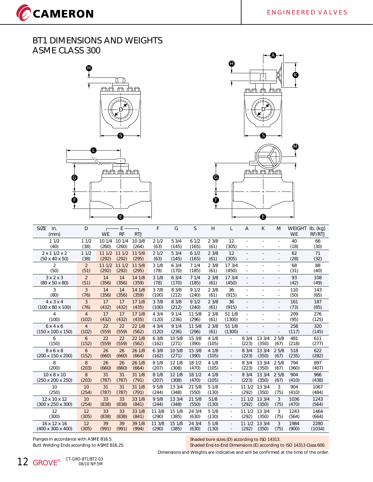CCAMERON







| <b>SIZE</b><br>in.<br>(mm)                          | D                      | <b>WE</b>   | Ε<br><b>RF</b> | <b>RTJ</b>      | F              | G               | <sub>S</sub>    | H              | L                        | $\overline{A}$           | K               | M            | <b>WEIGHT</b><br><b>WE</b> | $Ib.$ (kg)<br>RF/RTJ |
|-----------------------------------------------------|------------------------|-------------|----------------|-----------------|----------------|-----------------|-----------------|----------------|--------------------------|--------------------------|-----------------|--------------|----------------------------|----------------------|
| 11/2                                                | 11/2                   | 10 1/4      | 10 1/4         | 10 3/8          | 21/2           | 53/4            | 61/2            | 23/8           | 12                       |                          |                 |              | 40                         | 66                   |
| (40)                                                | (38)                   | (260)       | (260)          | (264)           | (63)           | (145)           | (165)           | (61)           | (305)                    |                          |                 | $\sim$       | (18)                       | (30)                 |
| $2 \times 11/2 \times 2$                            | 11/2                   | 111/2       | 111/2          | 11 5/8          | 21/2           | 53/4            | 61/2            | 23/8           | 12                       | ÷                        | ä,              |              | 62                         | 71                   |
| $(50 \times 40 \times 50)$                          | (38)                   | (292)       | (292)          | (295)           | (63)           | (145)           | (165)           | (61)           | (305)                    |                          |                 |              | (28)                       | (32)                 |
| $\overline{2}$                                      | $\overline{2}$         | 111/2       | 111/2          | 11 5/8          | 31/8           | 63/4            | 71/4            | 23/8           | 17 3/4                   |                          |                 |              | 68                         | 88                   |
| (50)                                                | (51)                   | (292)       | (292)          | (295)           | (78)           | (170)           | (185)           | (61)           | (450)                    | ×.                       | ÷.              | ٠            | (31)                       | (40)                 |
| $3 \times 2 \times 3$<br>$(80 \times 50 \times 80)$ | $\overline{2}$<br>(51) | 14<br>(356) | 14<br>(356)    | 14 1/8<br>(359) | 31/8<br>(78)   | 63/4<br>(170)   | 71/4<br>(185)   | 23/8<br>(61)   | 17 3/4<br>(450)          |                          |                 |              | 93                         | 108<br>(49)          |
| 3                                                   | 3                      | 14          | 14             | 14 1/8          | 37/8           |                 | 91/2            | 23/8           | 36                       |                          |                 |              | (42)                       |                      |
| (80)                                                | (76)                   | (356)       | (356)          | (359)           | (100)          | 8 3/8<br>(212)  | (240)           | (61)           | (915)                    | $\overline{\phantom{a}}$ |                 | $\sim$       | 110<br>(50)                | 143<br>(65)          |
| $4 \times 3 \times 4$                               | 3                      | 17          | 17             | 17 1/8          | 37/8           | 8 3/8           | 91/2            | 23/8           | 36                       |                          | $\overline{a}$  | $\sim$       | 161                        | 187                  |
| $(100 \times 80 \times 100)$                        | (76)                   | (432)       | (432)          | (435)           | (100)          | (212)           | (240)           | (61)           | (915)                    |                          |                 |              | (73)                       | (85)                 |
| 4                                                   | $\overline{4}$         | 17          | 17             | 17 1/8          | 43/4           | 91/4            | 11 5/8          | 23/8           | 51 1/8                   | ×.                       |                 | $\sim$       | 209                        | 276                  |
| (100)                                               | (102)                  | (432)       | (432)          | (435)           | (120)          | (236)           | (296)           | (61)           | (1300)                   |                          |                 |              | (95)                       | (125)                |
| 6x4x6                                               | $\overline{4}$         | 22          | 22             | 22 1/8          | 43/4           | 91/4            | 11 5/8          | 23/8           | 51 1/8                   |                          |                 |              | 258                        | 320                  |
| $(150 \times 100 \times 150)$                       | (102)                  | (559)       | (559)          | (562)           | (120)          | (236)           | (296)           | (61)           | (1300)                   |                          |                 |              | (117)                      | (145)                |
| 6                                                   | 6                      | 22          | 22             | 22 1/8          | 63/8           | 10 5/8          | 15 3/8          | 4 1/8          | $\overline{\phantom{a}}$ | 8 3/4                    | 13 3/4          | 25/8         | 481                        | 611                  |
| (150)                                               | (152)                  | (559)       | (559)          | (562)           | (162)          | (271)           | (390)           | (105)          | $\sim$                   | (223)                    | (350)           | (67)         | (218)                      | (277)                |
| 8x6x8                                               | 6                      | 26          | 26             | 26 1/8          | 63/8           | 10 5/8          | 15 3/8          | 41/8           | $\overline{\phantom{a}}$ | 8 3/4                    | 13 3/4          | 25/8         | 518                        | 622                  |
| (200 x 150 x 200)                                   | (152)                  | (660)       | (660)          | (664)           | (162)          | (271)           | (390)           | (105)          | $\overline{\phantom{a}}$ | (223)                    | (350)           | (67)         | (235)                      | (282)                |
| 8<br>(200)                                          | 8<br>(203)             | 26<br>(660) | 26<br>(660)    | 26 1/8<br>(664) | 8 1/8<br>(207) | 12 1/8<br>(308) | 18 1/2<br>(470) | 4 1/8<br>(105) | ×.<br>$\sim$             | 8 3/4<br>(223)           | 13 3/4<br>(350) | 25/8<br>(67) | 794<br>(360)               | 897<br>(407)         |
| $10 \times 8 \times 10$                             | 8                      | 31          | 31             | 31 1/8          | 8 1/8          | 12 1/8          | 18 1/2          | 4 1/8          |                          | 83/4                     | 13 3/4          | 25/8         | 904                        | 966                  |
| (250 x 200 x 250)                                   | (203)                  | (787)       | (787)          | (791)           | (207)          | (308)           | (470)           | (105)          | $\overline{\phantom{a}}$ | (223)                    | (350)           | (67)         | (410)                      | (438)                |
| 10                                                  | 10                     | 31          | 31             | 31 1/8          | 95/8           | 13 3/4          | 21 5/8          | 51/8           | $\sim$                   | 11 1/2                   | 13 3/4          | 3            | 904                        | 1067                 |
| (250)                                               | (254)                  | (787)       | (787)          | (791)           | (244)          | (348)           | (550)           | (130)          |                          | (292)                    | (350)           | (75)         | (410)                      | (484)                |
| 12 x 10 x 12                                        | 10                     | 33          | 33             | 33 1/8          | 95/8           | 13 3/4          | 21 5/8          | 51/8           | $\sim$                   | 111/2                    | 13 3/4          | 3            | 1036                       | 1243                 |
| (300 x 250 x 300)                                   | (254)                  | (838)       | (838)          | (841)           | (244)          | (348)           | (550)           | (130)          | $\overline{\phantom{a}}$ | (292)                    | (350)           | (75)         | (470)                      | (564)                |
| 12                                                  | 12                     | 33          | 33             | 33 1/8          | 11 3/8         | 15 1/8          | 24 3/4          | 51/8           | $\omega$                 | 11 1/2                   | 13 3/4          | 3            | 1243                       | 1464                 |
| (300)                                               | (305)                  | (838)       | (838)          | (841)           | (290)          | (385)           | (630)           | (130)          | $\overline{\phantom{a}}$ | (292)                    | (350)           | (75)         | (564)                      | (664)                |
| 16 x 12 x 16                                        | 12                     | 39          | 39             | 39 1/8          | 11 3/8         | 15 1/8          | 24 3/4          | 51/8           |                          | 111/2                    | 13 3/4          | 3            | 1984                       | 2280                 |
| $(400 \times 300 \times 400)$                       | (305)                  | (991)       | (991)          | (994)           | (290)          | (385)           | (630)           | (130)          | ٠                        | (292)                    | (350)           | (75)         | (900)                      | (1034)               |

Flanges in accordance with ASME B16.5. Butt Welding Ends according to ASME B16.25. Shaded bore sizes (D) according to ISO 14313. Shaded End-to-End Dimensions (E) according to ISO 14313 Class 600.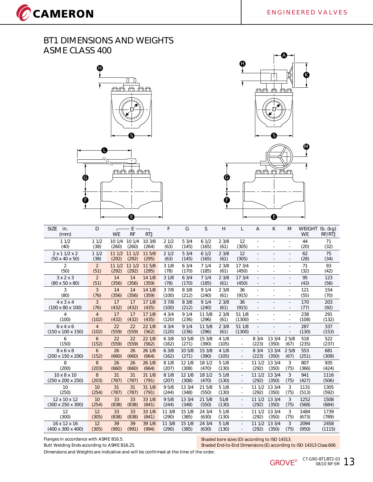CCAMERON







| <b>SIZE</b><br>in.<br>(mm)    | D              | <b>WE</b>   | E<br><b>RF</b> | <b>RTJ</b>      | F               | G               | S               | H             | L                                          | $\overline{A}$           | K               | M                        | <b>WEIGHT</b><br><b>WE</b> | $Ib.$ (kg)<br>RF/RTJ |
|-------------------------------|----------------|-------------|----------------|-----------------|-----------------|-----------------|-----------------|---------------|--------------------------------------------|--------------------------|-----------------|--------------------------|----------------------------|----------------------|
| 11/2                          | 11/2           | 10 1/4      | 10 1/4         | 10 3/8          | 21/2            | 53/4            | 61/2            | 23/8          | 12                                         |                          |                 |                          | 44                         | 71                   |
| (40)                          | (38)           | (260)       | (260)          | (264)           | (63)            | (145)           | (165)           | (61)          | (305)                                      |                          |                 |                          | (20)                       | (32)                 |
| $2 \times 11/2 \times 2$      | 11/2           | 111/2       | 111/2          | 11 5/8          | 21/2            | 53/4            | 61/2            | 23/8          | 12                                         | ÷.                       | ٠               |                          | 62                         | 75                   |
| $(50 \times 40 \times 50)$    | (38)           | (292)       | (292)          | (295)           | (63)            | (145)           | (165)           | (61)          | (305)                                      |                          | ٠               |                          | (28)                       | (34)                 |
| 2                             | $\overline{2}$ | 111/2       | 111/2          | 11 5/8          | 31/8            | 63/4            | 71/4            | 23/8          | 17 3/4                                     |                          | ÷.              |                          | 71                         | 93                   |
| (50)                          | (51)           | (292)       | (292)          | (295)           | (78)            | (170)           | (185)           | (61)          | (450)                                      |                          |                 | ٠                        | (32)                       | (42)                 |
| $3 \times 2 \times 3$         | $\overline{2}$ | 14          | 14             | 14 1/8          | 31/8            | 63/4            | 71/4            | 23/8          | 173/4                                      | ÷.                       |                 |                          | 95                         | 123                  |
| $(80 \times 50 \times 80)$    | (51)           | (356)       | (356)          | (359)           | (78)            | (170)           | (185)           | (61)          | (450)                                      |                          | $\sim$          | $\overline{\phantom{a}}$ | (43)                       | (56)                 |
| 3<br>(80)                     | 3<br>(76)      | 14<br>(356) | 14<br>(356)    | 14 1/8<br>(359) | 37/8<br>(100)   | 8 3/8<br>(212)  | 91/4<br>(240)   | 23/8<br>(61)  | 36<br>(915)                                |                          |                 |                          | 121<br>(55)                | 154<br>(70)          |
| $4 \times 3 \times 4$         | 3              | 17          | 17             | 17 1/8          | 37/8            | 8 3/8           | 91/4            | 23/8          | 36                                         |                          |                 |                          | 170                        | 203                  |
| $(100 \times 80 \times 100)$  | (76)           | (432)       | (432)          | (435)           | (100)           | (212)           | (240)           | (61)          | (915)                                      | $\overline{\phantom{a}}$ | ٠               | $\overline{\phantom{a}}$ | (77)                       | (92)                 |
| 4                             | $\overline{4}$ | 17          | 17             | 17 1/8          | 43/4            | 91/4            | 11 5/8          | 23/8          | 51 1/8                                     | ÷.                       | ×.              | ×.                       | 238                        | 291                  |
| (100)                         | (102)          | (432)       | (432)          | (435)           | (120)           | (236)           | (296)           | (61)          | (1300)                                     |                          |                 |                          | (108)                      | (132)                |
| 6x4x6                         | $\overline{4}$ | 22          | 22             | 22 1/8          | 43/4            | 91/4            | 11 5/8          | 23/8          | 51 1/8                                     | $\overline{\phantom{a}}$ |                 |                          | 287                        | 337                  |
| $(150 \times 100 \times 150)$ | (102)          | (559)       | (559)          | (562)           | (120)           | (236)           | (296)           | (61)          | (1300)                                     |                          |                 |                          | (130)                      | (153)                |
| 6                             | 6              | 22          | 22             | 22 1/8          | 63/8            | 10 5/8          | 15 3/8          | 4 1/8         | ×,                                         | 8 3/4                    | 13 3/4          | 25/8                     | 518                        | 522                  |
| (150)                         | (152)          | (559)       | (559)          | (562)           | (162)           | (271)           | (390)           | (105)         | $\overline{\phantom{a}}$                   | (223)                    | (350)           | (67)                     | (235)                      | (237)                |
| 8x6x8<br>(200 x 150 x 200)    | 6<br>(152)     | 26<br>(660) | 26<br>(660)    | 26 1/8<br>(664) | 63/8<br>(162)   | 10 5/8<br>(271) | 15 3/8<br>(390) | 41/8<br>(105) | $\blacksquare$<br>$\overline{\phantom{a}}$ | 8 3/4<br>(223)           | 13 3/4<br>(350) | 25/8<br>(67)             | 553<br>(251)               | 681<br>(309)         |
| 8                             | 8              | 26          | 26             | 26 1/8          | 8 1/8           | 12 1/8          | 18 1/2          | 51/8          | $\mathbf{r}$                               | 11 1/2                   | 13 3/4          | 3                        | 807                        | 935                  |
| (200)                         | (203)          | (660)       | (660)          | (664)           | (207)           | (308)           | (470)           | (130)         | ×,                                         | (292)                    | (350)           | (75)                     | (366)                      | (424)                |
| $10 \times 8 \times 10$       | 8              | 31          | 31             | 31 1/8          | 8 1/8           | 12 1/8          | 18 1/2          | 51/8          | $\overline{\phantom{a}}$                   | 111/2                    | 13 3/4          | 3                        | 941                        | 1116                 |
| (250 x 200 x 250)             | (203)          | (787)       | (787)          | (791)           | (207)           | (308)           | (470)           | (130)         | $\overline{\phantom{a}}$                   | (292)                    | (350)           | (75)                     | (427)                      | (506)                |
| 10                            | 10             | 31          | 31             | 31 1/8          | 9 5/8           | 13 3/4          | 21 5/8          | 51/8          | $\overline{\phantom{a}}$                   | 111/2                    | 13 3/4          | 3                        | 1131                       | 1305                 |
| (250)                         | (254)          | (787)       | (787)          | (791)           | (244)           | (348)           | (550)           | (130)         | $\overline{\phantom{a}}$                   | (292)                    | (350)           | (75)                     | (513)                      | (592)                |
| 12 x 10 x 12                  | 10             | 33          | 33             | 33 1/8          | 95/8            | 13 3/4          | 21 5/8          | 51/8          | $\blacksquare$                             | 11 1/2                   | 13 3/4          | 3                        | 1252                       | 1508                 |
| (300 x 250 x 300)             | (254)          | (838)       | (838)          | (841)           | (244)           | (348)           | (550)           | (130)         | $\overline{\phantom{a}}$                   | (292)                    | (350)           | (75)                     | (568)                      | (684)                |
| 12<br>(300)                   | 12<br>(305)    | 33<br>(838) | 33<br>(838)    | 33 1/8<br>(841) | 11 3/8<br>(290) | 15 1/8<br>(385) | 24 3/4<br>(630) | 51/8<br>(130) | $\mathcal{L}$<br>$\overline{\phantom{a}}$  | 11 1/2<br>(292)          | 13 3/4<br>(350) | 3<br>(75)                | 1484<br>(673)              | 1739<br>(789)        |
| 16 x 12 x 16                  | 12             | 39          | 39             | 39 1/8          | 11 3/8          | 15 1/8          | 24 3/4          | 51/8          | $\mathcal{L}_{\mathcal{A}}$                | 11 1/2                   | 13 3/4          | 3                        | 2094                       | 2458                 |
| $(400 \times 300 \times 400)$ | (305)          | (991)       | (991)          | (994)           | (290)           | (385)           | (630)           | (130)         | $\sim$                                     | (292)                    | (350)           | (75)                     | (950)                      | (1115)               |
|                               |                |             |                |                 |                 |                 |                 |               |                                            |                          |                 |                          |                            |                      |

Flanges in accordance with ASME B16.5.

Butt Welding Ends according to ASME B16.25.

Shaded bore sizes (D) according to ISO 14313.

Shaded End-to-End Dimensions (E) according to ISO 14313 Class 600.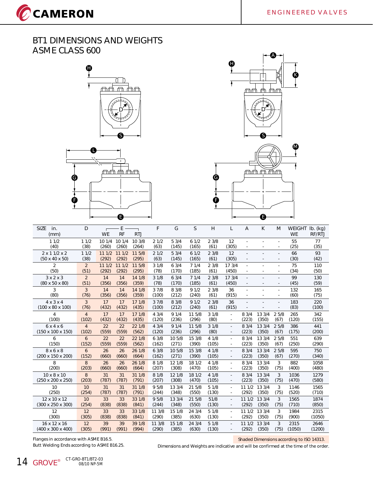CCAMERON







| <b>SIZE</b><br>in.<br>(mm)                             | D                      | <b>WE</b>       | E<br><b>RF</b>  | <b>RTJ</b>      | F             | G              | S             | H            | L                        | $\overline{A}$ | K      | M            | <b>WEIGHT</b><br><b>WE</b> | $Ib.$ (kg)<br>RF/RTJ |
|--------------------------------------------------------|------------------------|-----------------|-----------------|-----------------|---------------|----------------|---------------|--------------|--------------------------|----------------|--------|--------------|----------------------------|----------------------|
| 11/2<br>(40)                                           | 11/2<br>(38)           | 10 1/4<br>(260) | 10 1/4<br>(260) | 10 3/8<br>(264) | 21/2<br>(63)  | 53/4<br>(145)  | 61/2<br>(165) | 23/8<br>(61) | 12<br>(305)              | ٠              |        | ٠            | 55<br>(25)                 | 77<br>(35)           |
| $2 \times 11/2 \times 2$<br>$(50 \times 40 \times 50)$ | 11/2<br>(38)           | 111/2<br>(292)  | 111/2<br>(292)  | 11 5/8<br>(295) | 21/2<br>(63)  | 53/4<br>(145)  | 61/2<br>(165) | 23/8<br>(61) | 12<br>(305)              | ÷.             |        |              | 66<br>(30)                 | 93<br>(42)           |
| $\overline{2}$<br>(50)                                 | $\overline{2}$<br>(51) | 111/2<br>(292)  | 111/2<br>(292)  | 11 5/8<br>(295) | 31/8<br>(78)  | 63/4<br>(170)  | 71/4<br>(185) | 23/8<br>(61) | 17 3/4<br>(450)          |                |        |              | 75<br>(34)                 | 110<br>(50)          |
| $3 \times 2 \times 3$<br>$(80 \times 50 \times 80)$    | $\overline{2}$<br>(51) | 14<br>(356)     | 14<br>(356)     | 14 1/8<br>(359) | 31/8<br>(78)  | 63/4<br>(170)  | 71/4<br>(185) | 23/8<br>(61) | 17 3/4<br>(450)          | ÷.             |        |              | 99<br>(45)                 | 130<br>(59)          |
| 3<br>(80)                                              | 3<br>(76)              | 14<br>(356)     | 14<br>(356)     | 14 1/8<br>(359) | 37/8<br>(100) | 8 3/8<br>(212) | 91/2<br>(240) | 23/8<br>(61) | 36<br>(915)              | ٠              |        | ٠            | 132<br>(60)                | 165<br>(75)          |
| $4 \times 3 \times 4$<br>$(100 \times 80 \times 100)$  | 3<br>(76)              | 17<br>(432)     | 17<br>(432)     | 17 1/8<br>(435) | 37/8<br>(100) | 8 3/8<br>(212) | 91/2<br>(240) | 23/8<br>(61) | 36<br>(915)              |                |        |              | 183<br>(83)                | 220<br>(100)         |
| 4                                                      | $\overline{4}$         | 17              | 17              | 17 1/8          | 43/4          | 91/4           | 11 5/8        | 31/8         | ÷.                       | 83/4           | 13 3/4 | 25/8         | 265                        | 342                  |
| (100)                                                  | (102)                  | (432)           | (432)           | (435)           | (120)         | (236)          | (296)         | (80)         | $\sim$                   | (223)          | (350)  | (67)         | (120)                      | (155)                |
| 6x4x6                                                  | $\overline{4}$         | 22              | 22              | 22 1/8          | 43/4          | 91/4           | 11 5/8        | 31/8         | $\mathbf{r}$             | 8 3/4          | 13 3/4 | 25/8         | 386                        | 441                  |
| $(150 \times 100 \times 150)$                          | (102)                  | (559)           | (559)           | (562)           | (120)         | (236)          | (296)         | (80)         |                          | (223)          | (350)  | (67)         | (175)                      | (200)                |
| 6                                                      | 6                      | 22              | 22              | 22 1/8          | 63/8          | 10 5/8         | 15 3/8        | 41/8         | ÷.                       | 8 3/4          | 13 3/4 | 25/8         | 551                        | 639                  |
| (150)                                                  | (152)                  | (559)           | (559)           | (562)           | (162)         | (271)          | (390)         | (105)        |                          | (223)          | (350)  | (67)         | (250)                      | (290)                |
| 8x6x8                                                  | 6                      | 26              | 26              | 26 1/8          | 63/8          | 10 5/8         | 15 3/8        | 41/8         | $\sim$                   | 8 3/4          | 13 3/4 | 2.5/8        | 595                        | 750                  |
| (200 x 150 x 200)                                      | (152)                  | (660)           | (660)           | (664)           | (162)         | (271)          | (390)         | (105)        | $\overline{\phantom{a}}$ | (223)          | (350)  | (67)         | (270)                      | (340)                |
| 8                                                      | 8                      | 26              | 26              | 26 1/8          | 8 1/8         | 12 1/8         | 18 1/2        | 4 1/8        | ×.                       | 8 3/4          | 13 3/4 | 3            | 882                        | 1058                 |
| (200)                                                  | (203)                  | (660)           | (660)           | (664)           | (207)         | (308)          | (470)         | (105)        | ×.                       | (223)          | (350)  | (75)         | (400)                      | (480)                |
| $10 \times 8 \times 10$                                | 8                      | 31              | 31              | 31 1/8          | 8 1/8         | 12 1/8         | 18 1/2        | 41/8         |                          | 8 3/4          | 13 3/4 | 3            | 1036                       | 1279                 |
| (250 x 200 x 250)                                      | (203)                  | (787)           | (787)           | (791)           | (207)         | (308)          | (470)         | (105)        |                          | (223)          | (350)  | (75)         | (470)                      | (580)                |
| 10                                                     | 10                     | 31              | 31              | 31 1/8          | 95/8          | 13 3/4         | 21 5/8        | 51/8         | $\sim$                   | 111/2          | 13 3/4 | 3            | 1146                       | 1565                 |
| (250)                                                  | (254)                  | (787)           | (787)           | (791)           | (244)         | (348)          | (550)         | (130)        | $\sim$                   | (292)          | (350)  | (75)         | (520)                      | (710)                |
| 12 x 10 x 12                                           | 10                     | 33              | 33              | 33 1/8          | 95/8          | 13 3/4         | 21 5/8        | 51/8         | $\sim$                   | 111/2          | 13 3/4 | $\mathbf{3}$ | 1565                       | 1874                 |
| (300 x 250 x 300)                                      | (254)                  | (838)           | (838)           | (841)           | (244)         | (348)          | (550)         | (130)        |                          | (292)          | (350)  | (75)         | (710)                      | (850)                |
| 12                                                     | 12                     | 33              | 33              | 33 1/8          | 11 3/8        | 15 1/8         | 24 3/4        | 51/8         | $\sim$                   | 11 1/2         | 13 3/4 | 3            | 1984                       | 2315                 |
| (300)                                                  | (305)                  | (838)           | (838)           | (841)           | (290)         | (385)          | (630)         | (130)        |                          | (292)          | (350)  | (75)         | (900)                      | (1050)               |
| 16 x 12 x 16                                           | 12                     | 39              | 39              | 39 1/8          | 11 3/8        | 15 1/8         | 24 3/4        | 51/8         | ÷.                       | 111/2          | 13 3/4 | 3            | 2315                       | 2646                 |
| $(400 \times 300 \times 400)$                          | (305)                  | (991)           | (991)           | (994)           | (290)         | (385)          | (630)         | (130)        |                          | (292)          | (350)  | (75)         | (1050)                     | (1200)               |

Flanges in accordance with ASME B16.5. Butt Welding Ends according to ASME B16.25. Shaded Dimensions according to ISO 14313.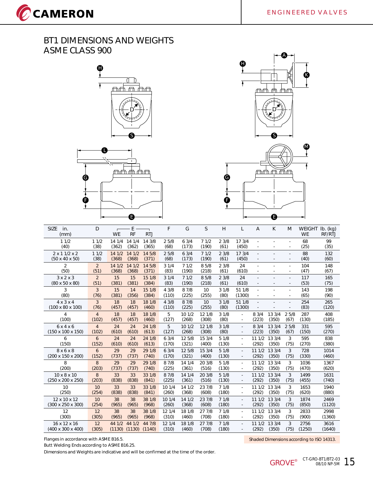CCAMERON







| <b>SIZE</b><br>in.<br>(mm)                             | D                      | <b>WE</b>       | E<br><b>RF</b>              | <b>RTJ</b>       | F               | G               | S               | Н             | L                           | A              | K               | M         | <b>WEIGHT</b><br><b>WE</b> | $Ib.$ (kg)<br>RF/RTJ |
|--------------------------------------------------------|------------------------|-----------------|-----------------------------|------------------|-----------------|-----------------|-----------------|---------------|-----------------------------|----------------|-----------------|-----------|----------------------------|----------------------|
| 11/2<br>(40)                                           | 11/2<br>(38)           | 14 1/4<br>(362) | 14 1/4<br>(362)             | 14 3/8<br>(365)  | 25/8<br>(68)    | 63/4<br>(173)   | 71/2<br>(190)   | 23/8<br>(61)  | 17 3/4<br>(450)             |                | ÷,              |           | 68<br>(25)                 | 99<br>(35)           |
| $2 \times 11/2 \times 2$<br>$(50 \times 40 \times 50)$ | 11/2<br>(38)           | 14 1/2<br>(368) | 141/2<br>(368)              | 14 5/8<br>(371)  | 25/8<br>(68)    | 63/4<br>(173)   | 71/2<br>(190)   | 23/8<br>(61)  | 173/4<br>(450)              | ÷              |                 |           | 88<br>(40)                 | 132<br>(60)          |
| $\overline{2}$<br>(50)                                 | 2<br>(51)              | 14 1/2<br>(368) | 141/2<br>(368)              | 14 5/8<br>(371)  | 31/4<br>(83)    | 71/2<br>(190)   | 8 5/8<br>(218)  | 23/8<br>(61)  | 24<br>(610)                 |                | ٠               | $\sim$    | 104<br>(47)                | 148<br>(67)          |
| $3 \times 2 \times 3$<br>$(80 \times 50 \times 80)$    | $\overline{2}$<br>(51) | 15<br>(381)     | 15<br>(381)                 | 15 1/8<br>(384)  | 31/4<br>(83)    | 71/2<br>(190)   | 8 5/8<br>(218)  | 23/8<br>(61)  | 24<br>(610)                 | ÷              |                 | $\sim$    | 117<br>(53)                | 165<br>(75)          |
| 3<br>(80)                                              | 3<br>(76)              | 15<br>(381)     | 14<br>(356)                 | 15 1/8<br>(384)  | 4 3/8<br>(110)  | 8 7/8<br>(225)  | 10<br>(255)     | 31/8<br>(80)  | 51 1/8<br>(1300)            | ä,             |                 |           | 143<br>(65)                | 198<br>(90)          |
| $4 \times 3 \times 4$<br>$(100 \times 80 \times 100)$  | $\overline{3}$<br>(76) | 18<br>(457)     | 18<br>(457)                 | 18 1/8<br>(460)  | 4 3/8<br>(110)  | 8 7/8<br>(225)  | 10<br>(255)     | 31/8<br>(80)  | 51 1/8<br>(1300)            |                |                 |           | 254<br>(83)                | 265<br>(120)         |
| $\overline{4}$                                         | $\overline{4}$         | 18              | 18                          | 18 1/8           | 5               | 10 1/2          | 12 1/8          | 31/8          | $\overline{\phantom{a}}$    | 8 3/4          | 13 3/4          | 25/8      | 287                        | 408                  |
| (100)                                                  | (102)                  | (457)           | (457)                       | (460)            | (127)           | (268)           | (308)           | (80)          | $\overline{\phantom{a}}$    | (223)          | (350)           | (67)      | (130)                      | (185)                |
| 6x4x6                                                  | $\overline{4}$         | 24              | 24                          | 24 1/8           | 5               | 10 1/2          | 12 1/8          | 31/8          | $\mathcal{L}_{\mathcal{A}}$ | 8 3/4          | 13 3/4          | 25/8      | 331                        | 595                  |
| $(150 \times 100 \times 150)$                          | (102)                  | (610)           | (610)                       | (613)            | (127)           | (268)           | (308)           | (80)          | $\overline{\phantom{a}}$    | (223)          | (350)           | (67)      | (150)                      | (270)                |
| 6                                                      | 6                      | 24              | 24                          | 24 1/8           | 63/4            | 12 5/8          | 15 3/4          | 51/8          | $\mathcal{L}$               | 111/2          | 13 3/4          | 3         | 595                        | 838                  |
| (150)                                                  | (152)                  | (610)           | (610)                       | (613)            | (170)           | (321)           | (400)           | (130)         | $\overline{\phantom{a}}$    | (292)          | (350)           | (75)      | (270)                      | (380)                |
| 8x6x8                                                  | 6                      | 29              | 29                          | 29 1/8           | 63/4            | 12 5/8          | 15 3/4          | 51/8          | $\sim$                      | 111/2          | 13 3/4          | 3         | 728                        | 1014                 |
| (200 x 150 x 200)                                      | (152)                  | (737)           | (737)                       | (740)            | (170)           | (321)           | (400)           | (130)         | $\overline{\phantom{a}}$    | (292)          | (350)           | (75)      | (330)                      | (460)                |
| 8                                                      | 8                      | 29              | 29                          | 29 1/8           | 8 7/8           | 14 1/4          | 20 3/8          | 51/8          | $\mathcal{L}$               | 11 1/2         | 13 3/4          | 3         | 1036                       | 1367                 |
| (200)                                                  | (203)                  | (737)           | (737)                       | (740)            | (225)           | (361)           | (516)           | (130)         | $\overline{\phantom{a}}$    | (292)          | (350)           | (75)      | (470)                      | (620)                |
| $10 \times 8 \times 10$                                | 8                      | 33              | 33                          | 33 1/8           | 8 7/8           | 14 1/4          | 20 3/8          | 51/8          | ä,                          | 111/2          | 13 3/4          | 3         | 1499                       | 1631                 |
| (250 x 200 x 250)                                      | (203)                  | (838)           | (838)                       | (841)            | (225)           | (361)           | (516)           | (130)         | $\overline{\phantom{a}}$    | (292)          | (350)           | (75)      | (455)                      | (740)                |
| 10                                                     | 10                     | 33              | 33                          | 33 1/8           | 10 1/4          | 14 1/2          | 23 7/8          | 71/8          | $\sim$                      | 111/2          | 13 3/4          | 3         | 1653                       | 1940                 |
| (250)                                                  | (254)                  | (838)           | (838)                       | (841)            | (260)           | (368)           | (608)           | (180)         | $\sim$                      | (292)          | (350)           | (75)      | (620)                      | (880)                |
| 12 x 10 x 12                                           | 10                     | 38              | 38                          | 38 1/8           | 10 1/4          | 14 1/2          | 23 7/8          | 71/8          | $\overline{\phantom{a}}$    | 111/2          | 13 3/4          | 3         | 1874                       | 2469                 |
| (300 x 250 x 300)                                      | (254)                  | (965)           | (965)                       | (968)            | (260)           | (368)           | (608)           | (180)         | $\overline{\phantom{a}}$    | (292)          | (350)           | (75)      | (850)                      | (1120)               |
| 12                                                     | 12                     | 38              | 38                          | 38 1/8           | 12 1/4          | 18 1/8          | 27 7/8          | 71/8          | $\omega$                    | 11 1/2         | 13 3/4          | 3         | 2833                       | 2998                 |
| (300)                                                  | (305)                  | (965)           | (965)                       | (968)            | (310)           | (460)           | (708)           | (180)         | ×.                          | (292)          | (350)           | (75)      | (900)                      | (1360)               |
| 16 x 12 x 16<br>$(400 \times 300 \times 400)$          | 12<br>(305)            | 44 1/2          | 44 1/2<br>$(1130)$ $(1130)$ | 44 7/8<br>(1140) | 12 1/4<br>(310) | 18 1/8<br>(460) | 27 7/8<br>(708) | 71/8<br>(180) | $\mathcal{L}_{\mathcal{A}}$ | 111/2<br>(292) | 13 3/4<br>(350) | 3<br>(75) | 2756<br>(1250)             | 3616<br>(1640)       |

Flanges in accordance with ASME B16.5.

Butt Welding Ends according to ASME B16.25.

Dimensions and Weights are indicative and will be confirmed at the time of the order.

Shaded Dimensions according to ISO 14313.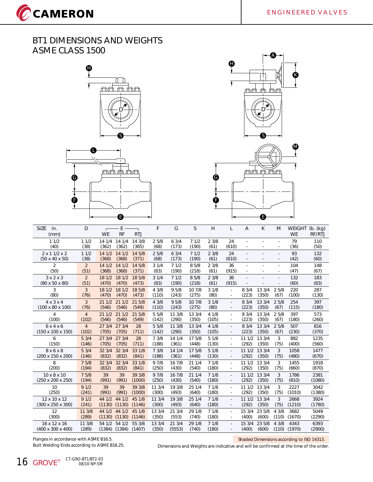CCAMERON







| <b>SIZE</b><br>in.<br>(mm)                             | D                      | <b>WE</b>       | E<br>RF         | <b>RTJ</b>      | F            | G             | S              | H            |                          | $\overline{A}$           | K                        | M                        | <b>WEIGHT</b><br><b>WE</b> | Ib. (kg)<br>RF/RTJ |
|--------------------------------------------------------|------------------------|-----------------|-----------------|-----------------|--------------|---------------|----------------|--------------|--------------------------|--------------------------|--------------------------|--------------------------|----------------------------|--------------------|
| 11/2<br>(40)                                           | 11/2<br>(38)           | 14 1/4<br>(362) | 14 1/4<br>(362) | 14 3/8<br>(365) | 25/8<br>(68) | 63/4<br>(173) | 71/2<br>(190)  | 23/8<br>(61) | 24<br>(610)              | ÷,                       |                          |                          | 79<br>(36)                 | 110<br>(50)        |
| $2 \times 11/2 \times 2$<br>$(50 \times 40 \times 50)$ | 11/2<br>(38)           | 14 1/2<br>(368) | 141/2<br>(368)  | 14 5/8<br>(371) | 25/8<br>(68) | 63/4<br>(173) | 71/2<br>(190)  | 23/8<br>(61) | 24<br>(610)              | $\overline{\phantom{a}}$ | $\overline{\phantom{m}}$ | $\overline{\phantom{a}}$ | 93<br>(42)                 | 132<br>(60)        |
| $\overline{2}$<br>(50)                                 | $\overline{2}$<br>(51) | 14 1/2<br>(368) | 14 1/2<br>(368) | 14 5/8<br>(371) | 31/4<br>(83) | 71/2<br>(190) | 8 5/8<br>(218) | 23/8<br>(61) | 36<br>(915)              | ×.<br>÷,                 | ÷.                       | ٠                        | 104<br>(47)                | 148<br>(67)        |
| $3 \times 2 \times 3$<br>$(80 \times 50 \times 80)$    | $\overline{2}$<br>(51) | 18 1/2<br>(470) | 18 1/2<br>(470) | 18 5/8<br>(473) | 31/4<br>(83) | 71/2<br>(190) | 8 5/8<br>(218) | 23/8<br>(61) | 36<br>(915)              |                          |                          | $\overline{a}$           | 132<br>(60)                | 183<br>(83)        |
| 3                                                      | 3                      | 18 1/2          | 18 1/2          | 18 5/8          | 4 3/8        | 9 5/8         | 10 7/8         | 31/8         | $\overline{\phantom{a}}$ | 8 3/4                    | 13 3/4                   | 25/8                     | 220                        | 287                |
| (80)                                                   | (76)                   | (470)           | (470)           | (473)           | (110)        | (243)         | (275)          | (80)         | $\overline{\phantom{a}}$ | (223)                    | (350)                    | (67)                     | (100)                      | (130)              |
| $4 \times 3 \times 4$                                  | $\overline{3}$         | 211/2           | 211/2           | 21 5/8          | 43/8         | 95/8          | 10 7/8         | 31/8         | ÷.                       | 8 3/4                    | 13 3/4                   | 25/8                     | 254                        | 397                |
| $(100 \times 80 \times 100)$                           | (76)                   | (546)           | (546)           | (549)           | (110)        | (243)         | (275)          | (80)         | $\overline{\phantom{a}}$ | (223)                    | (350)                    | (67)                     | (115)                      | (180)              |
| 4                                                      | $\overline{4}$         | 21 1/2          | 211/2           | 21 5/8          | 55/8         | 11 3/8        | 13 3/4         | 41/8         | ٠                        | 8 3/4                    | 13 3/4                   | 25/8                     | 397                        | 573                |
| (100)                                                  | (102)                  | (546)           | (546)           | (549)           | (142)        | (290)         | (350)          | (105)        | $\sim$                   | (223)                    | (350)                    | (67)                     | (180)                      | (260)              |
| 6x4x6                                                  | $\overline{4}$         | 273/4           | 273/4           | 28              | 55/8         | 11 3/8        | 13 3/4         | 41/8         | $\overline{\phantom{a}}$ | 8 3/4                    | 13 3/4                   | 25/8                     | 507                        | 816                |
| $(150 \times 100 \times 150)$                          | (102)                  | (705)           | (705)           | (711)           | (142)        | (290)         | (350)          | (105)        | $\overline{\phantom{a}}$ | (223)                    | (350)                    | (67)                     | (230)                      | (370)              |
| 6                                                      | 53/4                   | 273/4           | 273/4           | 28              | 7 3/8        | 14 1/4        | 17 5/8         | 51/8         | $\omega$                 | 111/2                    | 13 3/4                   | 3                        | 882                        | 1235               |
| (150)                                                  | (146)                  | (705)           | (705)           | (711)           | (188)        | (361)         | (448)          | (130)        | $\sim$                   | (292)                    | (350)                    | (75)                     | (400)                      | (560)              |
| 8 x 6 x 8                                              | 53/4                   | 32 3/4          | 32 3/4          | 33 1/8          | 73/8         | 14 1/4        | 17 5/8         | 51/8         | $\blacksquare$           | 111/2                    | 13 3/4                   | 3                        | 1058                       | 1477               |
| (200 x 150 x 200)                                      | (146)                  | (832)           | (832)           | (841)           | (188)        | (361)         | (448)          | (130)        | ٠                        | (292)                    | (350)                    | (75)                     | (480)                      | (670)              |
| 8                                                      | 75/8                   | 32 3/4          | 32 3/4          | 33 1/8          | 9 7/8        | 16 7/8        | 21 1/4         | 71/8         | $\sim$                   | 111/2                    | 13 3/4                   | 3                        | 1455                       | 1918               |
| (200)                                                  | (194)                  | (832)           | (832)           | (841)           | (250)        | (430)         | (540)          | (180)        | $\overline{\phantom{a}}$ | (292)                    | (350)                    | (75)                     | (660)                      | (870)              |
| 10 x 8 x 10                                            | 75/8                   | 39              | 39              | 39 3/8          | 97/8         | 16 7/8        | 211/4          | 71/8         | $\blacksquare$           | 111/2                    | 13 3/4                   | 3                        | 1786                       | 2381               |
| (250 x 200 x 250)                                      | (194)                  | (991)           | (991)           | (1000)          | (250)        | (430)         | (540)          | (180)        | $\overline{\phantom{a}}$ | (292)                    | (350)                    | (75)                     | (810)                      | (1080)             |
| 10                                                     | 91/2                   | 39              | 39              | 39 3/8          | 11 3/4       | 19 3/8        | 25 1/4         | 71/8         | $\overline{\phantom{a}}$ | 11 1/2                   | 13 3/4                   | 3                        | 2227                       | 3042               |
| (250)                                                  | (241)                  | (991)           | (991)           | (1000)          | (300)        | (493)         | (640)          | (180)        | $\overline{\phantom{a}}$ | (292)                    | (350)                    | (75)                     | (1010)                     | (1380)             |
| 12 x 10 x 12                                           | 91/2                   | 44 1/2          | 44 1/2          | 45 1/8          | 113/4        | 19 3/8        | 25 1/4         | 71/8         | ٠                        | 111/2                    | 13 3/4                   | 3                        | 2668                       | 3924               |
| (300 x 250 x 300)                                      | (241)                  | (1130)          | (1130)          | (1146)          | (300)        | (493)         | (640)          | (180)        | $\overline{\phantom{a}}$ | (292)                    | (350)                    | (75)                     | (1210)                     | (1780)             |
| 12                                                     | 11 3/8                 | 44 1/2          | 44 1/2          | 45 1/8          | 13 3/4       | 21 3/4        | 29 1/8         | 71/8         | $\omega$                 | 15 3/4                   | 23 5/8                   | 43/8                     | 3682                       | 5049               |
| (300)                                                  | (289)                  | (1130)          | (1130)          | (1146)          | (350)        | (553)         | (740)          | (180)        |                          | (400)                    | (600)                    | (110)                    | (1670)                     | (2290)             |
| 16 x 12 x 16                                           | 11 3/8                 | 54 1/2          | 54 1/2          | 55 3/8          | 13 3/4       | 21 3/4        | 29 1/8         | 71/8         | ÷                        | 15 3/4                   | 23 5/8                   | 43/8                     | 4343                       | 6393               |
| $(400 \times 300 \times 400)$                          | (289)                  | (1384)          | (1384)          | (1407)          | (350)        | (5553)        | (740)          | (180)        |                          | (400)                    | (600)                    | (110)                    | (1970)                     | (2900)             |

Flanges in accordance with ASME B16.5. Butt Welding Ends according to ASME B16.25. Shaded Dimensions according to ISO 14313.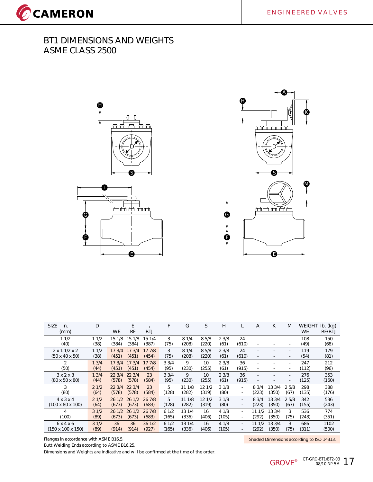





| <b>SIZE</b><br>in.<br>(mm)                          | D            | WE              | <b>RF</b>       | <b>RTJ</b>      | F            | G             | S              | H            |                          | Α                        | K      | M                                                    | <b>WEIGHT</b><br><b>WE</b> | $Ib.$ (kg)<br>RF/RTJ |
|-----------------------------------------------------|--------------|-----------------|-----------------|-----------------|--------------|---------------|----------------|--------------|--------------------------|--------------------------|--------|------------------------------------------------------|----------------------------|----------------------|
| 11/2<br>(40)                                        | 11/2<br>(38) | 15 1/8<br>(384) | 15 1/8<br>(384) | 15 1/4<br>(387) | 3<br>(75)    | 81/4<br>(208) | 8 5/8<br>(220) | 23/8<br>(61) | 24<br>(610)              | ٠                        |        | $\mathbf{r}$<br>٠                                    | 108<br>(49)                | 150<br>(68)          |
| $2 \times 11/2 \times 2$                            | 11/2         | 17.3/4          | 173/4           | 17 7/8          | 3            | 81/4          | 85/8           | 23/8         | 24                       | ٠                        |        | $\overline{\phantom{a}}$                             | 119                        | 179                  |
| $(50 \times 40 \times 50)$                          | (38)         | (451)           | (451)           | (454)           | (75)         | (208)         | (220)          | (61)         | (610)                    | $\overline{\phantom{a}}$ |        | $\overline{\phantom{a}}$                             | (54)                       | (81)                 |
| $\overline{2}$                                      | 13/4         | 17.3/4          | 17.3/4          | 177/8           | 33/4         | 9             | 10             | 23/8         | 36                       | ٠                        |        | $\overline{\phantom{a}}$                             | 247                        | 212                  |
| (50)                                                | (44)         | (451)           | (451)           | (454)           | (95)         | (230)         | (255)          | (61)         | (915)                    | ٠                        |        | $\mathbf{r}$                                         | (112)                      | (96)                 |
| $3 \times 2 \times 3$<br>$(80 \times 50 \times 80)$ | 13/4<br>(44) | 22.3/4<br>(578) | 22 3/4<br>(578) | 23<br>(584)     | 33/4<br>(95) | 9<br>(230)    | 10<br>(255)    | 23/8<br>(61) | 36<br>(915)              | $\overline{\phantom{a}}$ |        | $\overline{\phantom{a}}$<br>$\overline{\phantom{a}}$ | 276<br>(125)               | 353<br>(160)         |
| 3                                                   | 21/2         | 22 3/4          | 22 3/4          | 23              | 5            | 11 1/8        | 12 1/2         | 31/8         | $\sim$                   | 83/4                     | 13 3/4 | 25/8                                                 | 298                        | 388                  |
| (80)                                                | (64)         | (578)           | (578)           | (584)           | (128)        | (282)         | (319)          | (80)         | ٠                        | (223)                    | (350)  | (67)                                                 | (135)                      | (176)                |
| $4 \times 3 \times 4$                               | 21/2         | 261/2           | 261/2           | 26 7/8          | 5            | 11 1/8        | 12 1/2         | 31/8         | $\overline{\phantom{a}}$ | 83/4                     | 13 3/4 | 25/8                                                 | 342                        | 536                  |
| $(100 \times 80 \times 100)$                        | (64)         | (673)           | (673)           | (683)           | (128)        | (282)         | (319)          | (80)         | ٠                        | (223)                    | (350)  | (67)                                                 | (155)                      | (243)                |
| 4                                                   | 31/2         | 261/2           | 261/2           | 26 7/8          | 61/2         | 13 1/4        | 16             | 4 1/8        | $\overline{\phantom{a}}$ | 11 1/2                   | 13 3/4 | 3                                                    | 536                        | 774                  |
| (100)                                               | (89)         | (673)           | (673)           | (683)           | (165)        | (336)         | (406)          | (105)        | $\overline{\phantom{a}}$ | (292)                    | (350)  | (75)                                                 | (243)                      | (351)                |
| 6x4x6                                               | 31/2         | 36              | 36              | 36 1/2          | 61/2         | 13 1/4        | 16             | 4 1/8        | $\sim$                   | 11 1/2                   | 13 3/4 | 3                                                    | 686                        | 1102                 |
| $(150 \times 100 \times 150)$                       | (89)         | (914)           | (914)           | (927)           | (165)        | (336)         | (406)          | (105)        | ٠                        | (292)                    | (350)  | (75)                                                 | (311)                      | (500)                |
|                                                     |              |                 |                 |                 |              |               |                |              |                          |                          |        |                                                      |                            |                      |

Flanges in accordance with ASME B16.5.

Butt Welding Ends according to ASME B16.25.

Dimensions and Weights are indicative and will be confirmed at the time of the order.

Shaded Dimensions according to ISO 14313.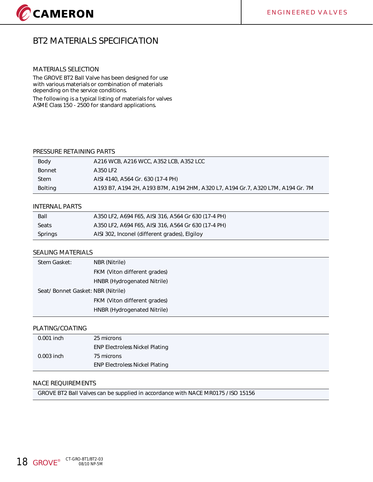## **BT2 MATERIALS SPECIFICATION**

#### **MATERIALS SELECTION**

The GROVE BT2 Ball Valve has been designed for use with various materials or combination of materials depending on the service conditions.

The following is a typical listing of materials for valves ASME Class 150 - 2500 for standard applications.

#### **PRESSURE RETAINING PARTS**

| Body        | A216 WCB, A216 WCC, A352 LCB, A352 LCC                                          |
|-------------|---------------------------------------------------------------------------------|
| Bonnet      | A350 LF2                                                                        |
| <b>Stem</b> | AISI 4140, A564 Gr. 630 (17-4 PH)                                               |
| Bolting     | A193 B7, A194 2H, A193 B7M, A194 2HM, A320 L7, A194 Gr.7, A320 L7M, A194 Gr. 7M |

#### **INTERNAL PARTS**

| Ball    | A350 LF2, A694 F65, AISI 316, A564 Gr 630 (17-4 PH) |
|---------|-----------------------------------------------------|
| Seats   | A350 LF2, A694 F65, AISI 316, A564 Gr 630 (17-4 PH) |
| Springs | AISI 302, Inconel (different grades), Elgiloy       |

#### **SEALING MATERIALS**

| Stem Gasket:                      | NBR (Nitrile)                |
|-----------------------------------|------------------------------|
|                                   | FKM (Viton different grades) |
|                                   | HNBR (Hydrogenated Nitrile)  |
| Seat/Bonnet Gasket: NBR (Nitrile) |                              |
|                                   | FKM (Viton different grades) |
|                                   | HNBR (Hydrogenated Nitrile)  |

#### **PLATING/COATING**

| $0.001$ inch | 25 microns                            |
|--------------|---------------------------------------|
|              | <b>ENP Electroless Nickel Plating</b> |
| $0.003$ inch | 75 microns                            |
|              | <b>ENP Electroless Nickel Plating</b> |

#### **NACE REQUIREMENTS**

GROVE BT2 Ball Valves can be supplied in accordance with NACE MR0175 / ISO 15156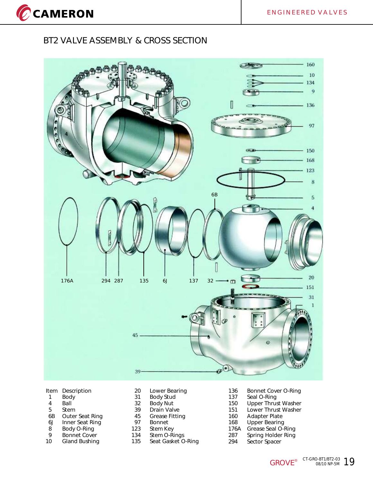CCAMERON

## **BT2 VALVE ASSEMBLY & CROSS SECTION**



#### **Item Description**

- 1 Body
- 4 Ball
- 5 Stem<br>6B Outer
- Outer Seat Ring
- 6J Inner Seat Ring
- 8 Body O-Ring<br>9 Bonnet Cover
- 9 Bonnet Cover<br>10 Gland Bushing **Gland Bushing**
- 31 Body Stud 20 Lower Bearing
- 32 Body Nut
- 39 Drain Valve
- 45 Grease Fitting<br>97 Bonnet
- 97 Bonnet<br>123 Stem Ke
- Stem Key
- 134 Stem O-Rings
- 135 Seat Gasket O-Ring
- 136 Bonnet Cover O-Ring
- 137 Seal O-Ring
- 150 Upper Thrust Washer 151 Lower Thrust Washer
- 160 Adapter Plate
- 168 Upper Bearing
- 176A Grease Seal O-Ring
- 287 Spring Holder Ring
- 294 Sector Spacer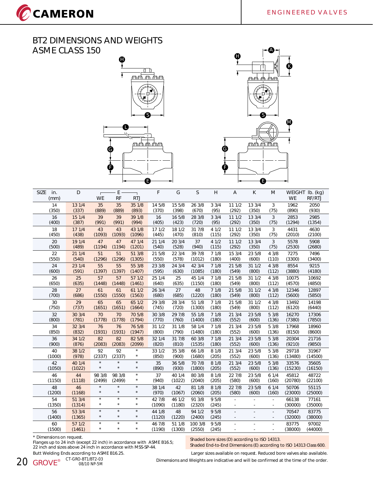CCAMERON





| <b>SIZE</b><br>in.<br>(mm) | D                | Н<br><b>WE</b>     | E<br><b>RF</b>     | <b>RTJ</b>         | F                | G                | S                 | H              | $\overline{A}$ | К      | M                              | <b>WE</b>        | WEIGHT lb. (kg)<br>RF/RTJ |
|----------------------------|------------------|--------------------|--------------------|--------------------|------------------|------------------|-------------------|----------------|----------------|--------|--------------------------------|------------------|---------------------------|
| 14                         | 13 1/4           | 35                 | 35                 | 35 1/8             | 14 5/8           | 15 5/8           | 26 3/8            | 33/4           | 11 1/2         | 13 3/4 | 3                              | 1962             | 2050                      |
| (350)                      | (337)            | (889)              | (889)              | (893)              | (370)            | (398)            | (670)             | (95)           | (292)          | (350)  | (75)                           | (890)            | (930)                     |
| 16                         | 15 1/4           | 39                 | 39                 | 39 1/8             | 16               | 16 5/8           | 28 3/8            | 33/4           | 111/2          | 13 3/4 | 3                              | 2853             | 2985                      |
| (400)                      | (387)            | (991)              | (991)              | (994)              | (405)            | (423)            | (720)             | (95)           | (292)          | (350)  | (75)                           | (1294)           | (1354)                    |
| 18                         | 17 1/4           | 43                 | 43                 | 43 1/8             | 17 1/2           | 18 1/2           | 31 7/8            | 41/2           | 111/2          | 13 3/4 | 3                              | 4431             | 4630                      |
| (450)                      | (438)            | (1093)             | (1093)             | (1096)             | (445)            | (470)            | (810)             | (115)          | (292)          | (350)  | (75)                           | (2010)           | (2100)                    |
| 20                         | 19 1/4           | 47                 | 47                 | 47 1/4             | 21 1/4           | 20 3/4           | 37                | 41/2           | 11 1/2         | 13 3/4 | 3                              | 5578             | 5908                      |
| (500)                      | (489)            | (1194)             | (1194)             | (1201)             | (540)            | (528)            | (940)             | (115)          | (292)          | (350)  | (75)                           | (2530)           | (2680)                    |
| 22                         | 21 1/4           | 51                 | 51                 | 51 3/8             | 21 5/8           | 22 3/4           | 39 7/8            | 71/8           | 15 3/4         | 23 5/8 | 4 3/8                          | 7275             | 7496                      |
| (550)                      | (540)            | (1296)             | (1296)             | (1305)             | (550)            | (578)            | (1012)            | (180)          | (400)          | (600)  | (110)                          | (3300)           | (3400)                    |
| 24                         | 23 1/4           | 55                 | 55                 | 55 3/8             | 23 3/8           | 24 3/4           | 42 3/4            | 71/8           | 21 5/8         | 31 1/2 | 4 3/8                          | 8554             | 9215                      |
| (600)                      | (591)            | (1397)             | (1397)             | (1407)             | (595)            | (630)            | (1085)            | (180)          | (549)          | (800)  | (112)                          | (3880)           | (4180)                    |
| 26                         | 25               | 57                 | 57                 | 57 1/2             | 25 1/4           | 25               | 45 1/4            | 71/8           | 21 5/8         | 31 1/2 | 4 3/8                          | 10075            | 10692                     |
| (650)                      | (635)            | (1448)             | (1448)             | (1461)             | (640)            | (635)            | (1150)            | (180)          | (549)          | (800)  | (112)                          | (4570)           | (4850)                    |
| 28                         | 27               | 61                 | 61                 | 611/2              | 26 3/4           | 27               | 48                | 71/8           | 21 5/8         | 311/2  | 4 3/8                          | 12346            | 12897                     |
| (700)                      | (686)            | (1550)             | (1550)             | (1563)             | (680)            | (685)            | (1220)            | (180)          | (549)          | (800)  | (112)                          | (5600)           | (5850)                    |
| 30                         | 29               | 65                 | 65                 | 65 1/2             | 29 3/8           | 28 3/4           | 51 1/8            | 71/8           | 21 5/8         | 31 1/2 | 4 3/8                          | 13492            | 14198                     |
| (750)                      | (737)            | (1651)             | (1651)             | (1664)             | (745)            | (720)            | (1300)            | (180)          | (549)          | (800)  | (112)                          | (6120)           | (6440)                    |
| 32                         | 30 3/4           | 70                 | 70                 | 70 5/8             | 30 3/8           | 29 7/8           | 55 1/8            | 71/8           | 21 3/4         | 23 5/8 | 5 3/8                          | 16270            | 17306                     |
| (800)                      | (781)            | (1778)             | (1778)             | (1794)             | (770)            | (760)            | (1400)            | (180)          | (552)          | (600)  | (136)                          | (7380)           | (7850)                    |
| 34                         | 32 3/4           | 76                 | 76                 | 76 5/8             | 31 1/2           | 31 1/8           | 58 1/4            | 71/8           | 21 3/4         | 23 5/8 | 5 3/8                          | 17968            | 18960                     |
| (850)                      | (832)            | (1931)             | (1931)             | (1947)             | (800)            | (790)            | (1480)            | (180)          | (552)          | (600)  | (136)                          | (8150)           | (8600)                    |
| 36                         | 34 1/2           | 82                 | 82                 | 82 5/8             | 32 1/4           | 31 7/8           | 60 3/8            | 71/8           | 21 3/4         | 23 5/8 | 5 3/8                          | 20304            | 21716                     |
| (900)                      | (876)            | (2083)             | (2083)             | (2099)             | (820)            | (810)            | (1535)            | (180)          | (552)          | (600)  | (136)                          | (9210)           | (9850)                    |
| 40                         | 38 1/2           | 92                 | 92                 | $\star$            | 33 1/2           | 35 3/8           | 66 1/8            | 8 1/8          | 21 3/4         | 23 5/8 | 5 3/8                          | 29718            | 31967                     |
| (1000)                     | (978)            | (2337)             | (2337)             | $\star$            | (850)            | (900)            | (1680)            | (205)          | (552)          | (600)  | (136)                          | (13480)          | (14500)                   |
| 42                         | 40 1/4           | $\star$            | $\star$            | $\star$            | 35               | 36 5/8           | 70 7/8            | 8 1/8          | 21 3/4         | 23 5/8 | 5 3/8                          | 33576            | 35605                     |
| (1050)                     | (1022)           | $\star$            | $\star$            | $\star$            | (890)            | (930)            | (1800)            | (205)          | (552)          | (600)  | (136)                          | (15230)          | (16150)                   |
| 46                         | 44               | 98 3/8             | 98 3/8             | $\star$            | 37               | 40 1/4           | 80 3/8            | 8 1/8          | 22 7/8         | 23 5/8 | 61/4                           | 45812            | 48722                     |
| (1150)                     | (1118)           | (2499)             | (2499)             | $\star$            | (940)            | (1022)           | (2040)            | (205)          | (580)          | (600)  | (160)                          | (20780)          | (22100)                   |
| 48                         | 46               | $\star$            | $\star$            | $\star$            | 38 1/4           | 42               | 81 1/8            | 81/8           | 22 7/8         | 23 5/8 | 61/4                           | 50706            | 55115                     |
| (1200)                     | (1168)           | $\star$            | $\star$            | $\star$            | (970)            | (1067)           | (2060)            | (205)          | (580)          | (600)  | (160)                          | (23000)          | (25000)                   |
| 54<br>(1350)               | 51 3/4<br>(1314) | $\star$<br>$\star$ | $\star$<br>$\star$ | $\star$<br>$\star$ | 42 7/8<br>(1090) | 46 1/2<br>(1180) | 91 3/8<br>(2320)  | 95/8<br>(245)  | ÷.             |        | ä,<br>$\overline{\phantom{a}}$ | 66138<br>(30000) | 77161<br>(35000)          |
| 56<br>(1400)               | 53 3/4<br>(1365) | $\star$<br>$\star$ | $\star$<br>$\star$ | $\star$<br>$\star$ | 44 1/8<br>(1120) | 48<br>(1220)     | 94 1/2<br>(2400)  | 9 5/8<br>(245) | ä,             |        | $\overline{a}$<br>÷,           | 70547<br>(32000) | 83775<br>(38000)          |
| 60<br>(1500)               | 57 1/2<br>(1461) | $\star$<br>$\star$ | $\star$<br>$\star$ | $\star$<br>$\star$ | 46 7/8<br>(1190) | 51 1/8<br>(1300) | 100 3/8<br>(2550) | 95/8<br>(245)  | ä,             |        | ä,<br>ä,                       | 83775<br>(38000) | 97002<br>(44000)          |

\* Dimensions on request.

Flanges up to 24 inch (except 22 inch) in accordance with ASME B16.5; 22 inch and sizes above 24 inch in accordance with MSS-SP-44. Butt Welding Ends according to ASME B16.25. Larger sizes available on request. Reduced bore valves also available.

Shaded bore sizes (D) according to ISO 14313.

Shaded End-to-End Dimensions (E) according to ISO 14313 Class 600.

**20 GROVE CT-GRO-BT1/BT2-03 CT-GRO-BT1/BT2-03** 08/10 NP-5M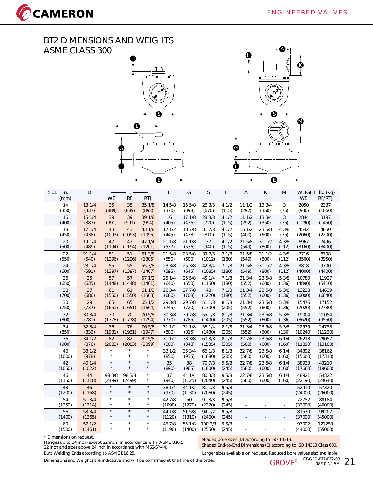CCAMERON





| <b>SIZE</b><br>in.<br>(mm) | D                | <b>WE</b>          | E<br><b>RF</b>     | <b>RTJ</b>         | F                | G                | S                 | H             | A      | К      | M                                          | <b>WE</b>        | WEIGHT Ib. (kg)<br>RF/RTJ |
|----------------------------|------------------|--------------------|--------------------|--------------------|------------------|------------------|-------------------|---------------|--------|--------|--------------------------------------------|------------------|---------------------------|
| 14                         | 13 1/4           | 35                 | 35                 | 35 1/8             | 14 5/8           | 15 5/8           | 26 3/8            | 41/2          | 11 1/2 | 13 3/4 | 3                                          | 2050             | 2337                      |
| (350)                      | (337)            | (889)              | (889)              | (893)              | (370)            | (398)            | (670)             | (115)         | (292)  | (350)  | (75)                                       | (930)            | (1060)                    |
| 16                         | 15 1/4           | 39                 | 39                 | 39 1/8             | 16               | 17 1/8           | 28 3/8            | 41/2          | 111/2  | 13 3/4 | 3                                          | 2844             | 3197                      |
| (400)                      | (387)            | (991)              | (991)              | (994)              | (405)            | (436)            | (720)             | (115)         | (292)  | (350)  | (75)                                       | (1290)           | (1450)                    |
| 18                         | 17 1/4           | 43                 | 43                 | 43 1/8             | 17 1/2           | 18 7/8           | 31 7/8            | 41/2          | 15 1/2 | 23 5/8 | 43/8                                       | 4542             | 4850                      |
| (450)                      | (438)            | (1093)             | (1093)             | (1096)             | (445)            | (478)            | (810)             | (115)         | (400)  | (600)  | (75)                                       | (2060)           | (2200)                    |
| 20                         | 19 1/4           | 47                 | 47                 | 47 1/4             | 21 1/8           | 21 1/8           | 37                | 41/2          | 21 5/8 | 31 1/2 | 43/8                                       | 6967             | 7496                      |
| (500)                      | (489)            | (1194)             | (1194)             | (1201)             | (537)            | (536)            | (940)             | (115)         | (549)  | (800)  | (112)                                      | (3160)           | (3400)                    |
| 22                         | 21 1/4           | 51                 | 51                 | 51 3/8             | 21 5/8           | 23 5/8           | 39 7/8            | 71/8          | 21 5/8 | 31 1/2 | 43/8                                       | 7716             | 8708                      |
| (550)                      | (540)            | (1296)             | (1296)             | (1305)             | (550)            | (600)            | (1012)            | (180)         | (549)  | (800)  | (112)                                      | (3500)           | (3950)                    |
| 24                         | 23 1/4           | 55                 | 55                 | 55 3/8             | 23 3/8           | 25 3/8           | 42 3/4            | 71/8          | 21 5/8 | 31 1/2 | 43/8                                       | 8818             | 9700                      |
| (600)                      | (591)            | (1397)             | (1397)             | (1407)             | (595)            | (645)            | (1085)            | (180)         | (549)  | (800)  | (112)                                      | (4000)           | (4400)                    |
| 26                         | 25               | 57                 | 57                 | 57 1/2             | 25 1/4           | 25 5/8           | 45 1/4            | 71/8          | 21 3/4 | 23 5/8 | 5 3/8                                      | 10780            | 11927                     |
| (650)                      | (635)            | (1448)             | (1448)             | (1461)             | (640)            | (650)            | (1150)            | (180)         | (552)  | (600)  | (136)                                      | (4890)           | (5410)                    |
| 28                         | 27               | 61                 | 61                 | 61 1/2             | 26 3/4           | 27 7/8           | 48                | 71/8          | 21 3/4 | 23 5/8 | 5 3/8                                      | 13228            | 14639                     |
| (700)                      | (686)            | (1550)             | (1550)             | (1563)             | (680)            | (708)            | (1220)            | (180)         | (552)  | (600)  | (136)                                      | (6000)           | (6640)                    |
| 30                         | 29               | 65                 | 65                 | 65 1/2             | 29 3/8           | 29 7/8           | 51 1/8            | 8 1/8         | 21 3/4 | 23 5/8 | 53/8                                       | 15476            | 17152                     |
| (750)                      | (737)            | (1651)             | (1651)             | (1664)             | (745)            | (720)            | (1300)            | (205)         | (552)  | (600)  | (136)                                      | (7020)           | (7780)                    |
| 32                         | 30 3/4           | 70                 | 70                 | 70 5/8             | 30 3/8           | 30 7/8           | 55 1/8            | 8 1/8         | 21 3/4 | 23 5/8 | 5 3/8                                      | 19004            | 21054                     |
| (800)                      | (781)            | (1778)             | (1778)             | (1794)             | (770)            | (785)            | (1400)            | (205)         | (552)  | (600)  | (136)                                      | (8620)           | (9550)                    |
| 34                         | 32 3/4           | 76                 | 76                 | 76 5/8             | 31 1/2           | 32 1/8           | 58 1/4            | 8 1/8         | 21 3/4 | 23 5/8 | 5 3/8                                      | 22575            | 24758                     |
| (850)                      | (832)            | (1931)             | (1931)             | (1947)             | (800)            | (815)            | (1480)            | (205)         | (552)  | (600)  | (136)                                      | (10240)          | (11230)                   |
| 36                         | 34 1/2           | 82                 | 82                 | 82 5/8             | 31 1/2           | 33 3/8           | 60 3/8            | 8 1/8         | 22 7/8 | 23 5/8 | 61/4                                       | 26213            | 29057                     |
| (900)                      | (876)            | (2083)             | (2083)             | (2099)             | (800)            | (848)            | (1535)            | (205)         | (580)  | (600)  | (160)                                      | (11890)          | (13180)                   |
| 40                         | 38 1/2           | $\star$            | $\star$            | $\star$            | 33 1/2           | 36 3/4           | 66 1/8            | 8 1/8         | 22 7/8 | 23 5/8 | 61/4                                       | 34392            | 38162                     |
| (1000)                     | (978)            | $\star$            | $\star$            | $\star$            | (850)            | (935)            | (1680)            | (205)         | (580)  | (600)  | (160)                                      | (15600)          | (17310)                   |
| 42                         | 40 1/4           | $\star$            | $\star$            | $\star$            | 35               | 38               | 70 7/8            | 95/8          | 22 7/8 | 23 5/8 | 61/4                                       | 38933            | 43210                     |
| (1050)                     | (1022)           | $\star$            | $\star$            | $\star$            | (890)            | (965)            | (1800)            | (245)         | (580)  | (600)  | (160)                                      | (17660)          | (19600)                   |
| 46                         | 44               | 98 3/8             | 98 3/8             | $\star$            | 37               | 44 1/4           | 80 3/8            | 95/8          | 22 7/8 | 23 5/8 | 61/4                                       | 48921            | 54322                     |
| (1150)                     | (1118)           | (2499)             | (2499)             | $\star$            | (940)            | (1125)           | (2040)            | (245)         | (580)  | (600)  | (160)                                      | (22190)          | (24640)                   |
| 48                         | 46               | $\star$            | $\star$            | $\star$            | 38 1/4           | 44 1/2           | 81 1/8            | 95/8          | L.     |        | $\overline{\phantom{a}}$                   | 52910            | 57320                     |
| (1200)                     | (1168)           | $\star$            | $\star$            | $\star$            | (970)            | (1130)           | (2060)            | (245)         | ÷,     |        | $\overline{\phantom{a}}$                   | (24000)          | (26000)                   |
| 54                         | 513/4            | $\star$            | $\star$            | $\star$            | 42 7/8           | 50               | 91 3/8            | 95/8          | ÷.     |        | $\bar{a}$                                  | 72752            | 88184                     |
| (1350)                     | (1314)           | $\star$            | $\star$            | $\star$            | (1090)           | (1270)           | (2320)            | (245)         | ÷,     |        | $\overline{\phantom{a}}$                   | (33000)          | (40000)                   |
| 56<br>(1400)               | 53 3/4<br>(1365) | $\star$<br>$\star$ | $\star$<br>$\star$ | $\star$<br>$\star$ | 44 1/8<br>(1120) | 51 5/8<br>(1310) | 94 1/2<br>(2400)  | 95/8<br>(245) |        |        | ÷,<br>$\overline{\phantom{a}}$             | 81570<br>(37000) | 99207<br>(45000)          |
| 60<br>(1500)               | 57 1/2<br>(1461) | $\star$<br>$\star$ | $\star$<br>$\star$ | $\star$<br>$\star$ | 46 7/8<br>(1190) | 55 1/8<br>(1400) | 100 3/8<br>(2550) | 95/8<br>(245) | $\sim$ |        | $\overline{a}$<br>$\overline{\phantom{a}}$ | 97002<br>(44000) | 121253<br>(55000)         |

\* Dimensions on request.

Flanges up to 24 inch (except 22 inch) in accordance with ASME B16.5; 22 inch and sizes above 24 inch in accordance with MSS-SP-44. Butt Welding Ends according to ASME B16.25. Larger sizes available on request. Reduced bore valves also available.

Shaded bore sizes (D) according to ISO 14313. Shaded End-to-End Dimensions (E) according to ISO 14313 Class 600.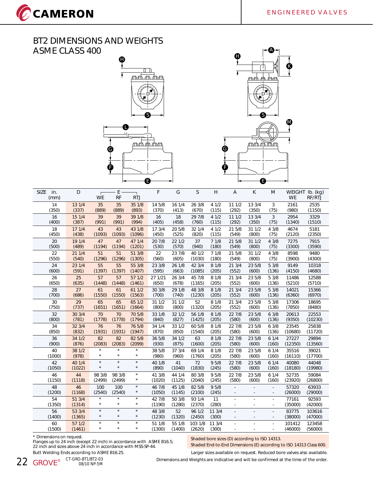CCAMERON





| <b>SIZE</b><br>in.<br>(mm) | D                | WE                 | E<br><b>RF</b>     | <b>RTJ</b>         | F                | G            | S                | H               | $\overline{A}$           | K                        | M                             | <b>WE</b>        | WEIGHT Ib. (kg)<br>RF/RTJ |
|----------------------------|------------------|--------------------|--------------------|--------------------|------------------|--------------|------------------|-----------------|--------------------------|--------------------------|-------------------------------|------------------|---------------------------|
| 14                         | 13 1/4           | 35                 | 35                 | 35 1/8             | 14 5/8           | 16 1/4       | 26 3/8           | 41/2            | 111/2                    | 13 3/4                   | 3                             | 2161             | 2535                      |
| (350)                      | (337)            | (889)              | (889)              | (893)              | (370)            | (413)        | (670)            | (115)           | (292)                    | (350)                    | (75)                          | (980)            | (1150)                    |
| 16                         | 15 1/4           | 39                 | 39                 | 39 1/8             | 16               | 18           | 29 7/8           | 41/2            | 111/2                    | 13 3/4                   | 3                             | 2954             | 3329                      |
| (400)                      | (387)            | (991)              | (991)              | (994)              | (405)            | (458)        | (760)            | (115)           | (292)                    | (350)                    | (75)                          | (1340)           | (1510)                    |
| 18                         | 171/4            | 43                 | 43                 | 43 1/8             | 17 3/4           | 20 5/8       | 32 1/4           | 41/2            | 21 5/8                   | 31 1/2                   | 4 3/8                         | 4674             | 5181                      |
| (450)                      | (438)            | (1093)             | (1093)             | (1096)             | (450)            | (525)        | (820)            | (115)           | (549)                    | (800)                    | (75)                          | (2120)           | (2350)                    |
| 20                         | 19 1/4           | 47                 | 47                 | 47 1/4             | 20 7/8           | 22 1/2       | 37               | 71/8            | 21 5/8                   | 31 1/2                   | 4 3/8                         | 7275             | 7915                      |
| (500)                      | (489)            | (1194)             | (1194)             | (1201)             | (530)            | (570)        | (940)            | (180)           | (549)                    | (800)                    | (75)                          | (3300)           | (3590)                    |
| 22                         | 21 1/4           | 51                 | 51                 | 51 3/8             | 22               | 23 7/8       | 40 1/2           | 71/8            | 21 5/8                   | 31 1/2                   | 4 3/8                         | 8598             | 9480                      |
| (550)                      | (540)            | (1296)             | (1296)             | (1305)             | (560)            | (605)        | (1030)           | (180)           | (549)                    | (800)                    | (75)                          | (3900)           | (4300)                    |
| 24                         | 23 1/4           | 55                 | 55                 | 55 3/8             | 23 3/8           | 26 1/8       | 42 3/4           | 8 1/8           | 21 3/4                   | 23 5/8                   | 5 3/8                         | 9149             | 10318                     |
| (600)                      | (591)            | (1397)             | (1397)             | (1407)             | (595)            | (663)        | (1085)           | (205)           | (552)                    | (600)                    | (136)                         | (4150)           | (4680)                    |
| 26                         | 25               | 57                 | 57                 | 571/2              | 27 1/21          | 26 3/4       | 45 7/8           | 8 1/8           | 21 3/4                   | 23 5/8                   | 5 3/8                         | 11486            | 12588                     |
| (650)                      | (635)            | (1448)             | (1448)             | (1461)             | (650)            | (678)        | (1165)           | (205)           | (552)                    | (600)                    | (136)                         | (5210)           | (5710)                    |
| 28                         | 27               | 61                 | 61                 | 61 1/2             | 30 3/8           | 29 1/8       | 48 3/8           | 8 1/8           | 21 3/4                   | 23 5/8                   | 5 3/8                         | 14021            | 15366                     |
| (700)                      | (686)            | (1550)             | (1550)             | (1563)             | (700)            | (740)        | (1230)           | (205)           | (552)                    | (600)                    | (136)                         | (6360)           | (6970)                    |
| 30                         | 29               | 65                 | 65                 | 65 1/2             | 31 1/2           | 31 1/2       | 52               | 8 1/8           | 21 3/4                   | 23 5/8                   | 5 3/8                         | 17306            | 18695                     |
| (750)                      | (737)            | (1651)             | (1651)             | (1664)             | (800)            | (800)        | (1320)           | (205)           | (552)                    | (600)                    | (136)                         | (7850)           | (8480)                    |
| 32                         | 30 3/4           | 70                 | 70                 | 70 5/8             | 33 1/8           | 32 1/2       | 56 1/8           | 8 1/8           | 22 7/8                   | 23 5/8                   | 63/8                          | 20613            | 22553                     |
| (800)                      | (781)            | (1778)             | (1778)             | (1794)             | (840)            | (827)        | (1425)           | (205)           | (580)                    | (600)                    | (136)                         | (9350)           | (10230)                   |
| 34                         | 32 3/4           | 76                 | 76                 | 76 5/8             | 34 1/4           | 33 1/2       | 60 5/8           | 8 1/8           | 22 7/8                   | 23 5/8                   | 63/8                          | 23545            | 25838                     |
| (850)                      | (832)            | (1931)             | (1931)             | (1947)             | (870)            | (850)        | (1540)           | (205)           | (580)                    | (600)                    | (136)                         | (10680)          | (11720)                   |
| 36                         | 34 1/2           | 82                 | 82                 | 82 5/8             | 36 5/8           | 34 1/2       | 63               | 8 1/8           | 22 7/8                   | 23 5/8                   | 61/4                          | 27227            | 29894                     |
| (900)                      | (876)            | (2083)             | (2083)             | (2099)             | (930)            | (875)        | (1600)           | (205)           | (580)                    | (600)                    | (160)                         | (12350)          | (13560)                   |
| 40                         | 38 1/2           | $\star$            | $\star$            | $\star$            | 38 5/8           | 37 3/4       | 69 1/4           | 8 1/8           | 22 7/8                   | 23 5/8                   | 61/4                          | 35516            | 39021                     |
| (1000)                     | (978)            | $\star$            | $\star$            | $\star$            | (980)            | (960)        | (1760)           | (205)           | (580)                    | (600)                    | (160)                         | (16110)          | (17700)                   |
| 42                         | 40 1/4           | $\star$            | $\star$            | $\star$            | 40 1/8           | 41           | 72               | 95/8            | 22 7/8                   | 23 5/8                   | 61/4                          | 40080            | 44048                     |
| (1050)                     | (1022)           | $\star$            | $\star$            | $\star$            | (890)            | (1040)       | (1830)           | (245)           | (580)                    | (600)                    | (160)                         | (18180)          | (19980)                   |
| 46                         | 44               | 98 3/8             | 98 3/8             | $\star$            | 41 3/8           | 44 1/4       | 80 3/8           | 95/8            | 22 7/8                   | 23 5/8                   | 61/4                          | 52735            | 59084                     |
| (1150)                     | (1118)           | (2499)             | (2499)             | $\star$            | (1020)           | (1125)       | (2040)           | (245)           | (580)                    | (600)                    | (160)                         | (23920)          | (26800)                   |
| 48                         | 46               | 100                | 100                | $\star$            | 46 7/8           | 45 1/8       | 82 5/8           | 9 5/8           | $\mathcal{L}$            |                          | ÷.                            | 57320            | 63933                     |
| (1200)                     | (1168)           | (2540)             | (2540)             | $\star$            | (1050)           | (1145)       | (2100)           | (245)           | L.                       |                          | ä,                            | (26000)          | (29000)                   |
| 54                         | 51 3/4           | $\star$            | $\star$            | $\star$            | 42 7/8           | 50 3/8       | 93 1/4           | 11              | L.                       | $\overline{\phantom{a}}$ | L.                            | 77161            | 92593                     |
| (1350)                     | (1314)           | $\star$            | $\star$            | $\star$            | (1190)           | (1280)       | (2370)           | (280)           | $\overline{\phantom{a}}$ |                          | $\overline{\phantom{a}}$      | (35000)          | (42000)                   |
| 56<br>(1400)               | 53 3/4<br>(1365) | $\star$<br>$\star$ | $\star$<br>$\star$ | $\star$<br>$\star$ | 48 3/8<br>(1230) | 52<br>(1320) | 96 1/2<br>(2450) | 11 3/4<br>(300) | ÷.                       |                          | $\overline{\phantom{a}}$<br>٠ | 83775<br>(38000) | 103616<br>(47000)         |
| 60                         | 57 1/2           | $\star$            | $\star$            | $\star$            | 51 1/8           | 55 1/8       | 103 1/8          | 11 3/4          | ÷                        |                          | ä,                            | 101412           | 123458                    |
| (1500)                     | (1461)           | $\star$            | $\star$            | $\star$            | (1300)           | (1400)       | (2620)           | (300)           | ÷,                       |                          | ä,                            | (46000)          | (56000)                   |

\* Dimensions on request.

Flanges up to 24 inch (except 22 inch) in accordance with ASME B16.5; 22 inch and sizes above 24 inch in accordance with MSS-SP-44. Butt Welding Ends according to ASME B16.25. Larger sizes available on request. Reduced bore valves also available.

Shaded bore sizes (D) according to ISO 14313.

Shaded End-to-End Dimensions (E) according to ISO 14313 Class 600.

**22 GROVE** CT-GRO-BT1/BT2-03

08/10 NP-5M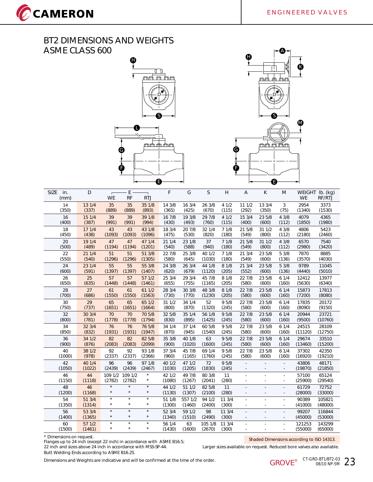CCAMERON





| <b>SIZE</b><br>in.<br>(mm) | D                | <b>WE</b>          | E<br>RF            | <b>RTJ</b>         | F                | G                 | S                 | H               | $\overline{A}$           | K                        | M                                                    | <b>WE</b>         | WEIGHT Ib. (kg)<br>RF/RTJ |
|----------------------------|------------------|--------------------|--------------------|--------------------|------------------|-------------------|-------------------|-----------------|--------------------------|--------------------------|------------------------------------------------------|-------------------|---------------------------|
| 14                         | 13 1/4           | 35                 | 35                 | 35 1/8             | 14 3/8           | 16 3/4            | 26 3/8            | 41/2            | 111/2                    | 13 3/4                   | 3                                                    | 2954              | 3373                      |
| (350)                      | (337)            | (889)              | (889)              | (893)              | (365)            | (425)             | (670)             | (115)           | (292)                    | (350)                    | (75)                                                 | (1340)            | (1530)                    |
| 16                         | 15 1/4           | 39                 | 39                 | 39 1/8             | 16 7/8           | 19 3/8            | 29 7/8            | 41/2            | 15 3/4                   | 23 5/8                   | 43/8                                                 | 4079              | 4365                      |
| (400)                      | (387)            | (991)              | (991)              | (994)              | (430)            | (493)             | (760)             | (115)           | (400)                    | (600)                    | (112)                                                | (1850)            | (1980)                    |
| 18                         | 171/4            | 43                 | 43                 | 43 1/8             | 18 3/4           | 20 7/8            | 32 1/4            | 71/8            | 21 5/8                   | 31 1/2                   | 43/8                                                 | 4806              | 5423                      |
| (450)                      | (438)            | (1093)             | (1093)             | (1096)             | (475)            | (530)             | (820)             | (180)           | (549)                    | (800)                    | (112)                                                | (2180)            | (2460)                    |
| 20                         | 19 1/4           | 47                 | 47                 | 47 1/4             | 21 1/4           | 23 1/8            | 37                | 71/8            | 21 5/8                   | 31 1/2                   | 43/8                                                 | 6570              | 7540                      |
| (500)                      | (489)            | (1194)             | (1194)             | (1201)             | (540)            | (588)             | (940)             | (180)           | (549)                    | (800)                    | (112)                                                | (2980)            | (3420)                    |
| 22                         | 211/4            | 51                 | 51                 | 51 3/8             | 22 7/8           | 25 3/8            | 40 1/2            | 71/8            | 21 3/4                   | 23 5/8                   | 5 3/8                                                | 7870              | 8885                      |
| (550)                      | (540)            | (1296)             | (1296)             | (1305)             | (580)            | (645)             | (1030)            | (180)           | (549)                    | (600)                    | (136)                                                | (3570)            | (4030)                    |
| 24                         | 23 1/4           | 55                 | 55                 | 55 3/8             | 24 3/8           | 26 3/4            | 44 1/8            | 8 1/8           | 213/4                    | 23 5/8                   | 53/8                                                 | 9789              | 11045                     |
| (600)                      | (591)            | (1397)             | (1397)             | (1407)             | (620)            | (679)             | (1120)            | (205)           | (552)                    | (600)                    | (136)                                                | (4440)            | (5010)                    |
| 26                         | 25               | 57                 | 57                 | 57 1/2             | 25 3/4           | 29 3/4            | 45 7/8            | 8 1/8           | 22 7/8                   | 23 5/8                   | 61/4                                                 | 12412             | 13977                     |
| (650)                      | (635)            | (1448)             | (1448)             | (1461)             | (655)            | (755)             | (1165)            | (205)           | (580)                    | (600)                    | (160)                                                | (5630)            | (6340)                    |
| 28                         | 27               | 61                 | 61                 | 61 1/2             | 28 3/4           | 30 3/8            | 48 3/8            | 8 1/8           | 22 7/8                   | 23 5/8                   | 61/4                                                 | 15873             | 17813                     |
| (700)                      | (686)            | (1550)             | (1550)             | (1563)             | (730)            | (770)             | (1230)            | (205)           | (580)                    | (600)                    | (160)                                                | (7200)            | (8080)                    |
| 30                         | 29               | 65                 | 65                 | 65 1/2             | 31 1/2           | 34 1/4            | 52                | 95/8            | 22 7/8                   | 23 5/8                   | 61/4                                                 | 17835             | 20172                     |
| (750)                      | (737)            | (1651)             | (1651)             | (1664)             | (800)            | (870)             | (1320)            | (245)           | (580)                    | (600)                    | (160)                                                | (8090)            | (9150)                    |
| 32                         | 30 3/4           | 70                 | 70                 | 70 5/8             | 32 5/8           | 35 1/4            | 56 1/8            | 95/8            | 22 7/8                   | 23 5/8                   | 61/4                                                 | 20944             | 23721                     |
| (800)                      | (781)            | (1778)             | (1778)             | (1794)             | (830)            | (895)             | (1425)            | (245)           | (580)                    | (600)                    | (160)                                                | (9500)            | (10760)                   |
| 34                         | 32 3/4           | 76                 | 76                 | 76 5/8             | 34 1/4           | 37 1/4            | 60 5/8            | 9 5/8           | 22 7/8                   | 23 5/8                   | 61/4                                                 | 24515             | 28109                     |
| (850)                      | (832)            | (1931)             | (1931)             | (1947)             | (870)            | (945)             | (1540)            | (245)           | (580)                    | (600)                    | (160)                                                | (11120)           | (12750)                   |
| 36                         | 34 1/2           | 82                 | 82                 | 82 5/8             | 35 3/8           | 40 1/8            | 63                | 95/8            | 22 7/8                   | 23 5/8                   | 61/4                                                 | 29674             | 33510                     |
| (900)                      | (876)            | (2083)             | (2083)             | (2099)             | (900)            | (1020)            | (1600)            | (245)           | (580)                    | (600)                    | (160)                                                | (13460)           | (15200)                   |
| 40                         | 38 1/2           | 92                 | 92                 | 93 1/8             | 37 3/4           | 45 7/8            | 69 1/4            | 9 5/8           | 22 7/8                   | 23 5/8                   | 61/4                                                 | 37302             | 42350                     |
| (1000)                     | (978)            | (2337)             | (2337)             | (2366)             | (960)            | (1165)            | (1760)            | (245)           | (580)                    | (600)                    | (160)                                                | (16920)           | (19210)                   |
| 42                         | 40 1/4           | 96                 | 96                 | 97 1/8             | 40 1/2           | 47 1/2            | 72                | 95/8            | L.                       | $\overline{\phantom{m}}$ | $\bar{a}$                                            | 43806             | 48171                     |
| (1050)                     | (1022)           | (2439)             | (2439)             | (2467)             | (1030)           | (1205)            | (1830)            | (245)           | $\overline{\phantom{a}}$ |                          | $\overline{\phantom{a}}$                             | (19870)           | (21850)                   |
| 46<br>(1150)               | 44<br>(1118)     | 109 1/2<br>(2782)  | 109 1/2<br>(2782)  | $\star$<br>$\star$ | 42 1/2<br>(1080) | 49 7/8<br>(1267)  | 80 3/8<br>(2041)  | 11<br>(280)     | ÷                        |                          | $\overline{\phantom{a}}$<br>$\overline{\phantom{a}}$ | 57100<br>(25900)  | 65124<br>(29540)          |
| 48<br>(1200)               | 46<br>(1168)     | $\star$<br>$\star$ | $\star$<br>$\star$ | $\star$<br>$\star$ | 44 1/2<br>(1130) | 51 1/2<br>(1307)  | 82 5/8<br>(2100)  | 11<br>(280)     | ÷,                       |                          | ÷.<br>$\sim$                                         | 61729<br>(28000)  | 72752<br>(33000)          |
| 54<br>(1350)               | 51 3/4<br>(1314) | $\star$<br>$\star$ | $\star$<br>$\star$ | $\star$<br>$\star$ | 51 1/8<br>(1300) | 557 1/2<br>(1460) | 94 1/2<br>(2400)  | 11 3/4<br>(300) | ÷.                       |                          | $\overline{\phantom{a}}$                             | 90389<br>(41000)  | 105821<br>(48000)         |
| 56<br>(1400)               | 53 3/4<br>(1365) | $\star$<br>$\star$ | $\star$<br>$\star$ | $\star$<br>$\star$ | 52 3/4<br>(1340) | 59 1/2<br>(1510)  | 98<br>(2490)      | 11 3/4<br>(300) |                          |                          | ÷.<br>÷,                                             | 99207<br>(45000)  | 116844<br>(53000)         |
| 60<br>(1500)               | 571/2<br>(1461)  | $\star$<br>$\star$ | $\star$<br>$\star$ | $\star$<br>$\star$ | 56 1/4<br>(1430) | 63<br>(1600)      | 105 1/8<br>(2670) | 113/4<br>(300)  | $\overline{\phantom{a}}$ | $\overline{\phantom{a}}$ | ä,<br>$\sim$                                         | 121253<br>(55000) | 143299<br>(65000)         |
|                            |                  |                    |                    |                    |                  |                   |                   |                 |                          |                          |                                                      |                   |                           |

\* Dimensions on request.<br>Flanges up to 24 inch (except 22 inch) in accordance with ASME B16.5;<br>\* The Shaded Dimensions according to ISO 14313. 22 inch and sizes above 24 inch in accordance with MSS-SP-44. Larger sizes available on request. Reduced bore valves also available. Butt Welding Ends according to ASME B16.25.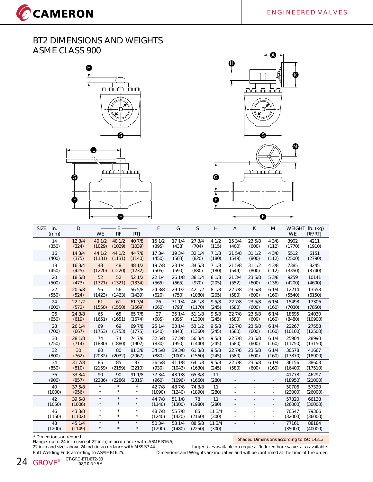CCAMERON







| <b>SIZE</b><br>in.<br>(mm) | D                | $\Box$<br><b>WE</b> | E<br><b>RF</b>     | <b>RTJ</b>            | F                | G                | S                | Н               | $\overline{A}$           | K      | M                             | WEIGHT<br><b>WE</b> | $Ib.$ (kg)<br>RF/RTJ |
|----------------------------|------------------|---------------------|--------------------|-----------------------|------------------|------------------|------------------|-----------------|--------------------------|--------|-------------------------------|---------------------|----------------------|
| 14                         | 12 3/4           | 40 1/2              | 40 1/2             | 40 7/8                | 15 1/2           | 17 1/4           | 27 3/4           | 4 1/2           | 15 3/4                   | 23 5/8 | 4 3/8                         | 3902                | 4211                 |
| (350)                      | (324)            | (1029)              | (1029)             | (1039)                | (395)            | (438)            | (704)            | (115)           | (400)                    | (600)  | (112)                         | (1770)              | (1910)               |
| 16                         | 14 3/4           | 44 1/2              | 44 1/2             | 44 7/8                | 17 3/4           | 19 3/4           | 32 1/4           | 71/8            | 21 5/8                   | 31 1/2 | 43/8                          | 5512                | 6151                 |
| (400)                      | (375)            | (1131)              | (1131)             | (1140)                | (450)            | (503)            | (820)            | (180)           | (549)                    | (800)  | (112)                         | (2500)              | (2790)               |
| 18                         | 16 3/4           | 48                  | 48                 | 48 1/2                | 19 7/8           | 23 1/4           | 34 5/8           | 71/8            | 21 5/8                   | 31 1/2 | 4 3/8                         | 7385                | 8245                 |
| (450)                      | (425)            | (1220)              | (1220)             | (1232)                | (505)            | (590)            | (880)            | (180)           | (549)                    | (800)  | (112)                         | (3350)              | (3740)               |
| 20                         | 18 5/8           | 52                  | 52                 | 52 1/2                | 22 1/4           | 26 1/8           | 38 1/4           | 8 1/8           | 213/4                    | 23 5/8 | 5 3/8                         | 9259                | 10141                |
| (500)                      | (473)            | (1321)              | (1321)             | (1334)                | (565)            | (665)            | (970)            | (205)           | (552)                    | (600)  | (136)                         | (4200)              | (4600)               |
| 22                         | 20 5/8           | 56                  | 56                 | 56 5/8                | 24 3/8           | 29 1/2           | 42 1/2           | 8 1/8           | 22 7/8                   | 23 5/8 | 61/4                          | 12214               | 13558                |
| (550)                      | (524)            | (1423)              | (1423)             | (1439)                | (620)            | (750)            | (1080)           | (205)           | (580)                    | (600)  | (160)                         | (5540)              | (6150)               |
| 24                         | 22 1/2           | 61                  | 61                 | 61 3/4                | 26               | 31 1/4           | 46 1/8           | 9 5/8           | 22 7/8                   | 23 5/8 | 61/4                          | 15498               | 17306                |
| (600)                      | (572)            | (1550)              | (1550)             | (1569)                | (660)            | (793)            | (1170)           | (245)           | (580)                    | (600)  | (160)                         | (7030)              | (7850)               |
| 26                         | 24 3/8           | 65                  | 65                 | 65 7/8                | 27               | 35 1/4           | 51 1/8           | 95/8            | 22 7/8                   | 23 5/8 | 61/4                          | 18695               | 24030                |
| (650)                      | (619)            | (1651)              | (1651)             | (1674)                | (685)            | (895)            | (1300)           | (245)           | (580)                    | (600)  | (160)                         | (8480)              | (10900)              |
| 28                         | 26 1/4           | 69                  | 69                 | 69 7/8                | 25 1/4           | 33 1/4           | 53 1/2           | 95/8            | 22 7/8                   | 23 5/8 | 61/4                          | 22267               | 27558                |
| (700)                      | (667)            | (1753)              | (1753)             | (1775)                | (640)            | (843)            | (1360)           | (245)           | (580)                    | (600)  | (160)                         | (10100)             | (12500)              |
| 30                         | 28 1/8           | 74                  | 74                 | 74 7/8                | 32 5/8           | 37 3/8           | 56 3/4           | 9 5/8           | 22 7/8                   | 23 5/8 | 61/4                          | 25904               | 28990                |
| (750)                      | (714)            | (1880)              | (1880)             | (1902)                | (830)            | (950)            | (1440)           | (245)           | (580)                    | (600)  | (160)                         | (11750)             | (13150)              |
| 32                         | 30               | 80                  | 80                 | 81 3/8                | 34 5/8           | 39 3/8           | 61 3/8           | 95/8            | 22 7/8                   | 23 5/8 | 61/4                          | 30578               | 41667                |
| (800)                      | (762)            | (2032)              | (2032)             | (2067)                | (880)            | (1000)           | (1560)           | (245)           | (580)                    | (600)  | (160)                         | (13870)             | (18900)              |
| 34                         | 31 7/8           | 85                  | 85                 | 87                    | 36 5/8           | 41 1/8           | 64 1/8           | 9 5/8           | 22 7/8                   | 23 5/8 | 61/4                          | 36156               | 38603                |
| (850)                      | (810)            | (2159)              | (2159)             | (2210)                | (930)            | (1043)           | (1630)           | (245)           | (580)                    | (600)  | (160)                         | (16400)             | (17510)              |
| 36                         | 33 3/4           | 90                  | 90                 | 91 1/8                | 37 3/4           | 43 1/8           | 65 3/8           | 11              | ÷                        |        | $\overline{\phantom{a}}$      | 41778               | 46297                |
| (900)                      | (857)            | (2286)              | (2286)             | (2315)                | (960)            | (1096)           | (1660)           | (280)           | ÷,                       |        | ÷,                            | (18950)             | (21000)              |
| 40                         | 37 5/8           | $\star$             | $\star$            | $\star$               | 42 7/8           | 48 7/8           | 74 3/8           | 11              | ä,                       |        | $\sim$                        | 50706               | 57320                |
| (1000)                     | (956)            | $\star$             | $\star$            | $^{\star}$            | (1090)           | (1240)           | (1890)           | (280)           | $\overline{\phantom{a}}$ |        | $\overline{\phantom{a}}$      | (23000)             | (26000)              |
| 42<br>(1050)               | 39 5/8<br>(1006) | $\star$<br>$\star$  | $\star$<br>$\star$ | $\star$<br>$^{\star}$ | 44 7/8<br>(1140) | 51 1/8<br>(1300) | 78<br>(1980)     | 11<br>(280)     | $\overline{\phantom{a}}$ |        | ÷<br>$\overline{\phantom{a}}$ | 57320<br>(26000)    | 66138<br>(30000)     |
| 46<br>(1150)               | 43 3/8<br>(1102) | $\star$<br>$\star$  | $\star$<br>$\star$ | $\star$<br>$\star$    | 48 7/8<br>(1240) | 55 7/8<br>(1420) | 85<br>(2160)     | 11 3/4<br>(300) |                          |        | ٠<br>÷.                       | 70547<br>(32000)    | 79366<br>(36000)     |
| 48<br>(1200)               | 45 1/4<br>(1149) | $\star$<br>$\star$  | $\star$<br>$\star$ | $\star$<br>$^{\star}$ | 50 3/4<br>(1290) | 58 1/4<br>(1480) | 88 5/8<br>(2250) | 11 3/4<br>(300) |                          |        |                               | 77161<br>(35000)    | 88184<br>(40000)     |

\* Dimensions on request.

Flanges up to 24 inch (except 22 inch) in accordance with ASME B16.5; 22 inch and sizes above 24 inch in accordance with MSS-SP-44. Larger sizes available on request. Reduced bore valves also available.

Shaded Dimensions according to ISO 14313.

Butt Welding Ends according to ASME B16.25. Dimensions and Weights are indicative and will be confirmed at the time of the order.

CT-GRO-BT1/BT2-03<br>08/10 NP-5M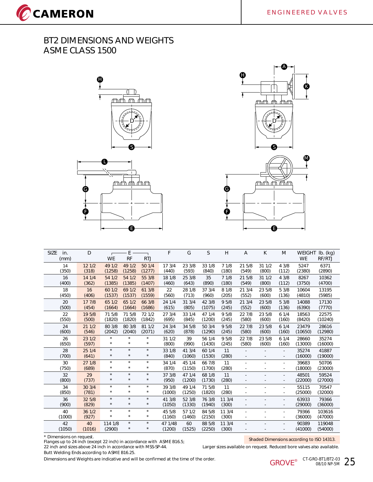







| <b>SIZE</b><br>in.<br>(mm) | D               | <b>WE</b>             | E<br><b>RF</b>        | <b>RTJ</b>            | F                 | G                | S                | H               | Α               | K               | M                              | <b>WEIGHT</b><br><b>WE</b> | $Ib.$ (kg)<br>RF/RTJ |
|----------------------------|-----------------|-----------------------|-----------------------|-----------------------|-------------------|------------------|------------------|-----------------|-----------------|-----------------|--------------------------------|----------------------------|----------------------|
| 14<br>(350)                | 12 1/2<br>(318) | 49 1/2<br>(1258)      | 49 1/2<br>(1258)      | 50 1/4<br>(1277)      | 17 3/4<br>(440)   | 23 3/8<br>(593)  | 33 1/8<br>(840)  | 71/8<br>(180)   | 21 5/8<br>(549) | 311/2<br>(800)  | 4 3/8<br>(112)                 | 5247<br>(2380)             | 6371<br>(2890)       |
| 16<br>(400)                | 14 1/4<br>(362) | 54 1/2<br>(1385)      | 54 1/2<br>(1385)      | 55 3/8<br>(1407)      | 18 1/8<br>(460)   | 25 3/8<br>(643)  | 35<br>(890)      | 71/8<br>(180)   | 21 5/8<br>(549) | 311/2<br>(800)  | 4 3/8<br>(112)                 | 8267<br>(3750)             | 10362<br>(4700)      |
| 18<br>(450)                | 16<br>(406)     | 60 1/2<br>(1537)      | 69 1/2<br>(1537)      | 61 3/8<br>(1559)      | 22<br>(560)       | 28 1/8<br>(713)  | 37 3/4<br>(960)  | 8 1/8<br>(205)  | 21 3/4<br>(552) | 23 5/8<br>(600) | 5 3/8<br>(136)                 | 10604<br>(4810)            | 13195<br>(5985)      |
| 20<br>(500)                | 17 7/8<br>(454) | 65 1/2<br>(1664)      | 65 1/2<br>(1664)      | 66 3/8<br>(1686)      | 24 1/4<br>(615)   | 31 3/4<br>(805)  | 42 3/8<br>(1075) | 95/8<br>(245)   | 21 3/4<br>(552) | 23 5/8<br>(600) | 5 3/8<br>(136)                 | 14088<br>(6390)            | 17130<br>(7770)      |
| 22<br>(550)                | 19 5/8<br>(500) | 71 5/8<br>(1820)      | 71 5/8<br>(1820)      | 72 1/2<br>(1842)      | 27 3/4<br>(695)   | 33 1/4<br>(845)  | 47 1/4<br>(1200) | 95/8<br>(245)   | 22 7/8<br>(580) | 23 5/8<br>(600) | 61/4<br>(160)                  | 18563<br>(8420)            | 22575<br>(10240)     |
| 24<br>(600)                | 211/2<br>(546)  | 80 3/8<br>(2042)      | 80 3/8<br>(2040)      | 81 1/2<br>(2071)      | 24 3/4<br>(620)   | 34 5/8<br>(878)  | 50 3/4<br>(1290) | 95/8<br>(245)   | 22 7/8<br>(580) | 23 5/8<br>(600) | 61/4<br>(160)                  | 23479<br>(10650)           | 28616<br>(12980)     |
| 26<br>(650)                | 23 1/2<br>(597) | $\star$<br>$^\star$   | $\star$<br>$\star$    | $\star$<br>$^{\star}$ | 31 1/2<br>(800)   | 39<br>(990)      | 56 1/4<br>(1430) | 9 5/8<br>(245)  | 22 7/8<br>(580) | 23 5/8<br>(600) | 61/4<br>(160)                  | 28660<br>(13000)           | 35274<br>(16000)     |
| 28<br>(700)                | 25 1/4<br>(641) | $\star$<br>$^{\star}$ | $\star$<br>$\star$    | $\star$<br>$^{\star}$ | 33 1/8<br>(840)   | 41 3/4<br>(1060) | 60 1/4<br>(1530) | 11<br>(280)     |                 |                 | $\overline{\phantom{a}}$       | 35274<br>(16000)           | 41887<br>(19000)     |
| 30<br>(750)                | 27 1/8<br>(689) | $\star$<br>$^\star$   | $\star$<br>$\star$    | $\star$<br>$\star$    | 34 1/4<br>(870)   | 45 1/4<br>(1150) | 66 7/8<br>(1700) | 11<br>(280)     |                 |                 | ٠<br>$\sim$                    | 39683<br>(18000)           | 50706<br>(23000)     |
| 32<br>(800)                | 29<br>(737)     | $\star$<br>$\star$    | $\star$<br>$\star$    | $\star$<br>$\star$    | 37 3/8<br>(950)   | 47 1/4<br>(1200) | 68 1/8<br>(1730) | 11<br>(280)     |                 |                 | ٠                              | 48501<br>(22000)           | 59524<br>(27000)     |
| 34<br>(850)                | 30 3/4<br>(781) | $\star$<br>$\star$    | $\star$<br>$\star$    | $\star$<br>$\star$    | 39 3/8<br>(1000)  | 49 1/4<br>(1250) | 71 5/8<br>(1820) | 11<br>(280)     |                 |                 | ×<br>$\overline{\phantom{a}}$  | 55115<br>(25000)           | 70547<br>(32000)     |
| 36<br>(900)                | 32 5/8<br>(829) | $\star$<br>$\star$    | $\star$<br>$\star$    | $\star$<br>$^{\star}$ | 41 3/8<br>(1050)  | 52 3/8<br>(1330) | 76 3/8<br>(1940) | 11 3/4<br>(300) |                 |                 | ٠<br>$\overline{\phantom{a}}$  | 63933<br>(29000)           | 79366<br>(36000)     |
| 40<br>(1000)               | 36 1/2<br>(927) | $\star$<br>$\star$    | $\star$<br>$\star$    | $\star$<br>$^{\star}$ | 45 5/8<br>(1160)  | 57 1/2<br>(1460) | 84 5/8<br>(2150) | 11 3/4<br>(300) |                 |                 | ×.<br>$\overline{\phantom{a}}$ | 79366<br>(36000)           | 103616<br>(47000)    |
| 42<br>(1050)               | 40<br>(1016)    | 114 1/8<br>(2900)     | $\star$<br>$^{\star}$ | $\star$<br>$^{\star}$ | 47 1/48<br>(1200) | 60<br>(1525)     | 88 5/8<br>(2250) | 11 3/4<br>(300) |                 |                 |                                | 90389<br>(41000)           | 119048<br>(54000)    |

\* Dimensions on request.

Flanges up to 24 inch (except 22 inch) in accordance with ASME B16.5; 22 inch and sizes above 24 inch in accordance with MSS-SP-44. Larger sizes available on request. Reduced bore valves also available. Butt Welding Ends according to ASME B16.25.

Shaded Dimensions according to ISO 14313.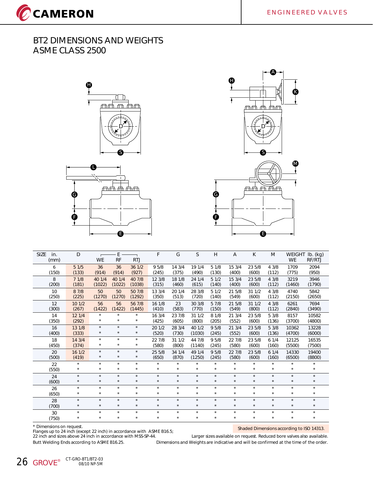CCAMERON





| <b>SIZE</b><br>in.<br>(mm) | D          | <b>WE</b>  | E<br><b>RF</b> | <b>RTJ</b> | F       | G       | S       | Η       | Α       | K          | M       | <b>WEIGHT</b><br><b>WE</b> | $Ib.$ (kg)<br>RF/RTJ |
|----------------------------|------------|------------|----------------|------------|---------|---------|---------|---------|---------|------------|---------|----------------------------|----------------------|
| 6                          | 51/5       | 36         | 36             | 36 1/2     | 9 5/8   | 14 3/4  | 19 1/4  | 51/8    | 15 3/4  | 23 5/8     | 43/8    | 1709                       | 2094                 |
| (150)                      | (133)      | (914)      | (914)          | (927)      | (245)   | (375)   | (490)   | (130)   | (400)   | (600)      | (112)   | (775)                      | (950)                |
| 8                          | 71/8       | 40 1/4     | 40 1/4         | 40 7/8     | 12 3/8  | 18 1/8  | 24 1/4  | 51/2    | 15 3/4  | 23 5/8     | 43/8    | 3219                       | 3946                 |
| (200)                      | (181)      | (1022)     | (1022)         | (1038)     | (315)   | (460)   | (615)   | (140)   | (400)   | (600)      | (112)   | (1460)                     | (1790)               |
| 10                         | 8 7/8      | 50         | 50             | 50 7/8     | 13 3/4  | 20 1/4  | 28 3/8  | 51/2    | 21 5/8  | 31 1/2     | 4 3/8   | 4740                       | 5842                 |
| (250)                      | (225)      | (1270)     | (1270)         | (1292)     | (350)   | (513)   | (720)   | (140)   | (549)   | (600)      | (112)   | (2150)                     | (2650)               |
| 12                         | 101/2      | 56         | 56             | 56 7/8     | 16 1/8  | 23      | 30 3/8  | 5 7/8   | 21 5/8  | 311/2      | 43/8    | 6261                       | 7694                 |
| (300)                      | (267)      | (1422)     | (1422)         | (1445)     | (410)   | (583)   | (770)   | (150)   | (549)   | (800)      | (112)   | (2840)                     | (3490)               |
| 14                         | 12 1/4     | $^{\star}$ | $\star$        | $\star$    | 16 3/4  | 23 7/8  | 31 1/2  | 8 1/8   | 21 3/4  | 23 5/8     | 5 3/8   | 8157                       | 10582                |
| (350)                      | (292)      | $\star$    | $\star$        | $^{\star}$ | (425)   | (605)   | (800)   | (205)   | (552)   | (600)      | (136)   | (3700)                     | (4800)               |
| 16                         | 13 1/8     | $\star$    | $\star$        | $\star$    | 20 1/2  | 28 3/4  | 40 1/2  | 9 5/8   | 21 3/4  | 23 5/8     | 53/8    | 10362                      | 13228                |
| (400)                      | (333)      | $^{\star}$ | $\star$        | $\star$    | (520)   | (730)   | (1030)  | (245)   | (552)   | (600)      | (136)   | (4700)                     | (6000)               |
| 18                         | 14 3/4     | $\star$    | $\star$        | $\star$    | 22 7/8  | 31 1/2  | 44 7/8  | 9 5/8   | 22 7/8  | 23 5/8     | 61/4    | 12125                      | 16535                |
| (450)                      | (374)      | $^{\star}$ | $\star$        | $\star$    | (580)   | (800)   | (1140)  | (245)   | (580)   | (600)      | (160)   | (5500)                     | (7500)               |
| 20                         | 16 1/2     | $\star$    | $\star$        | $\star$    | 25 5/8  | 34 1/4  | 49 1/4  | 9 5/8   | 22 7/8  | 23 5/8     | 61/4    | 14330                      | 19400                |
| (500)                      | (419)      | $\star$    | $\star$        | $\star$    | (650)   | (870)   | (1250)  | (245)   | (580)   | (600)      | (160)   | (6500)                     | (8800)               |
| 22                         | $\star$    | $\star$    | $\star$        | $\star$    | $\star$ | $\star$ | $\star$ | $\star$ | $\star$ | $\star$    | $\star$ | $\star$                    | $\star$              |
| (550)                      | $\star$    | $\star$    | $\star$        | $\star$    | $\star$ | $\star$ | $\star$ | $\star$ | $\star$ | $^{\star}$ | $\star$ | $^{\star}$                 | $\star$              |
| 24                         | $\star$    | $\star$    | $\star$        | $\star$    | $\star$ | $\star$ | $\star$ | $\star$ | $\star$ | $\star$    | $\star$ | $\star$                    | $\star$              |
| (600)                      | $^{\star}$ | $\star$    | $\star$        | $\star$    | $\star$ | $\star$ | $\star$ | $\star$ | $\star$ | $\star$    | $\star$ | $\star$                    | $\star$              |
| 26                         | $\star$    | $\star$    | $\star$        | $\star$    | $\star$ | $\star$ | $\star$ | $\star$ | $\star$ | $\star$    | $\star$ | $\star$                    | $\star$              |
| (650)                      | $^{\star}$ | $\star$    | $\star$        | $\star$    | $\star$ | $\star$ | $\star$ | $\star$ | $\star$ | $^{\star}$ | $\star$ | $\star$                    | $\star$              |
| 28                         | $\star$    | $\star$    | $\star$        | $\star$    | $\star$ | $\star$ | $\star$ | $\star$ | $\star$ | $\star$    | $\star$ | $\star$                    | $\star$              |
| (700)                      | $^{\star}$ | $^{\star}$ | $\star$        | $\star$    | $\star$ | $\star$ | $\star$ | $\star$ | $\star$ | $\star$    | $\star$ | $\star$                    | $\star$              |
| 30                         | $\star$    | $\star$    | $\star$        | $\star$    | $\star$ | $\star$ | $\star$ | $\star$ | $\star$ | $\star$    | $\star$ | $\star$                    | $\star$              |
| (750)                      | $^{\star}$ | $\star$    | $\star$        | $\star$    | $\star$ | $\star$ | $\star$ | $\star$ | $\star$ | $^{\star}$ | $\star$ | $\star$                    | $^{\star}$           |

\* Dimensions on request.

Flanges up to 24 inch (except 22 inch) in accordance with ASME B16.5;<br>22 inch and sizes above 24 inch in accordance with MSS-SP-44.

Shaded Dimensions according to ISO 14313.

Larger sizes available on request. Reduced bore valves also available. Butt Welding Ends according to ASME B16.25. Dimensions and Weights are indicative and will be confirmed at the time of the order.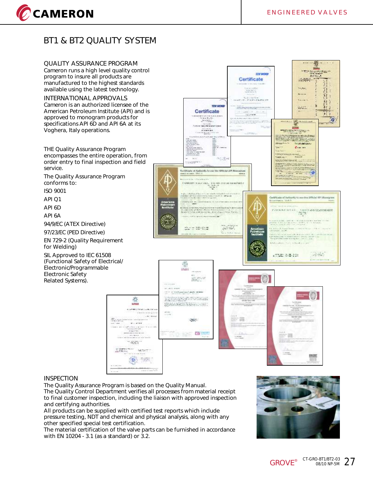## **BT1 & BT2 QUALITY SYSTEM**

**QUALITY ASSURANCE PROGRAM** Cameron runs a high level quality control program to insure all products are manufactured to the highest standards available using the latest technology.

**INTERNATIONAL APPROVALS** Cameron is an authorized licensee of the American Petroleum Institute (API) and is approved to monogram products for specifications API 6D and API 6A at its Voghera, Italy operations.

**THE Quality Assurance Program encompasses the entire operation, from order entry to final inspection and field service.**

**The Quality Assurance Program conforms to:**

ISO 9001

CCAMERON

API Q1

API 6D

API 6A

94/9/EC (ATEX Directive)

97/23/EC (PED Directive)

EN 729-2 (Quality Requirement for Welding)

SIL Approved to IEC 61508 (Functional Safety of Electrical/ Electronic/Programmable Electronic Safety Related Systems).



#### **INSPECTION**

The Quality Assurance Program is based on the Quality Manual.

The Quality Control Department verifies all processes from material receipt to final customer inspection, including the liaison with approved inspection and certifying authorities.

淼 **LUISED** 

All products can be supplied with certified test reports which include pressure testing, NDT and chemical and physical analysis, along with any other specified special test certification.

The material certification of the valve parts can be furnished in accordance with EN 10204 - 3.1 (as a standard) or 3.2.

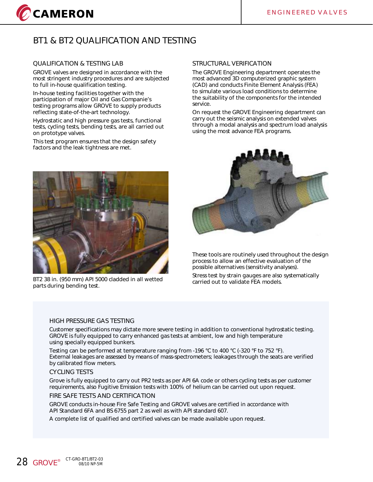

## **BT1 & BT2 QUALIFICATION AND TESTING**

#### **QUALIFICATION & TESTING LAB**

GROVE valves are designed in accordance with the most stringent industry procedures and are subjected to full in-house qualification testing.

In-house testing facilities together with the participation of major Oil and Gas Companie's testing programs allow GROVE to supply products reflecting state-of-the-art technology.

Hydrostatic and high pressure gas tests, functional tests, cycling tests, bending tests, are all carried out on prototype valves.

This test program ensures that the design safety factors and the leak tightness are met.



BT2 38 in. (950 mm) API 5000 cladded in all wetted parts during bending test.

#### **STRUCTURAL VERIFICATION**

The GROVE Engineering department operates the most advanced 3D computerized graphic system (CAD) and conducts Finite Element Analysis (FEA) to simulate various load conditions to determine the suitability of the components for the intended service.

On request the GROVE Engineering department can carry out the seismic analysis on extended valves through a modal analysis and spectrum load analysis using the most advance FEA programs.



These tools are routinely used throughout the design process to allow an effective evaluation of the possible alternatives (sensitivity analyses).

Stress test by strain gauges are also systematically carried out to validate FEA models.

#### **HIGH PRESSURE GAS TESTING**

Customer specifications may dictate more severe testing in addition to conventional hydrostatic testing. GROVE is fully equipped to carry enhanced gas tests at ambient, low and high temperature using specially equipped bunkers.

Testing can be performed at temperature ranging from -196 °C to 400 °C (-320 °F to 752 °F). External leakages are assessed by means of mass-spectrometers; leakages through the seats are verified by calibrated flow meters.

#### **CYCLING TESTS**

Grove is fully equipped to carry out PR2 tests as per API 6A code or others cycling tests as per customer requirements, also Fugitive Emission tests with 100% of helium can be carried out upon request.

#### **FIRE SAFE TESTS AND CERTIFICATION**

GROVE conducts in-house Fire Safe Testing and GROVE valves are certified in accordance with API Standard 6FA and BS 6755 part 2 as well as with API standard 607.

A complete list of qualified and certified valves can be made available upon request.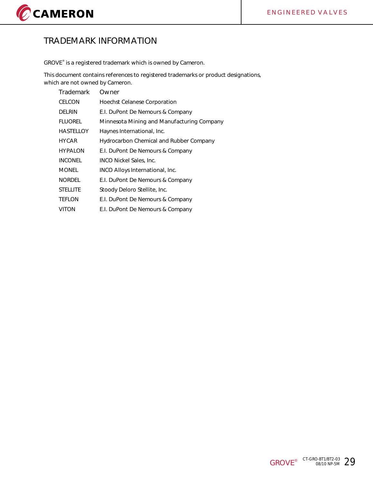

## **TRADEMARK INFORMATION**

GROVE® is a registered trademark which is owned by Cameron.

This document contains references to registered trademarks or product designations, which are not owned by Cameron.

| Trademark        | Owner                                      |
|------------------|--------------------------------------------|
| CELCON           | <b>Hoechst Celanese Corporation</b>        |
| DELRIN           | E.I. DuPont De Nemours & Company           |
| <b>FLUOREL</b>   | Minnesota Mining and Manufacturing Company |
| <b>HASTELLOY</b> | Haynes International, Inc.                 |
| <b>HYCAR</b>     | Hydrocarbon Chemical and Rubber Company    |
| <b>HYPALON</b>   | E.I. DuPont De Nemours & Company           |
| <b>INCONEL</b>   | <b>INCO Nickel Sales, Inc.</b>             |
| <b>MONEL</b>     | INCO Alloys International, Inc.            |
| <b>NORDEL</b>    | E.I. DuPont De Nemours & Company           |
| <b>STELLITE</b>  | Stoody Deloro Stellite, Inc.               |
| <b>TEFLON</b>    | E.I. DuPont De Nemours & Company           |
| VITON            | E.I. DuPont De Nemours & Company           |